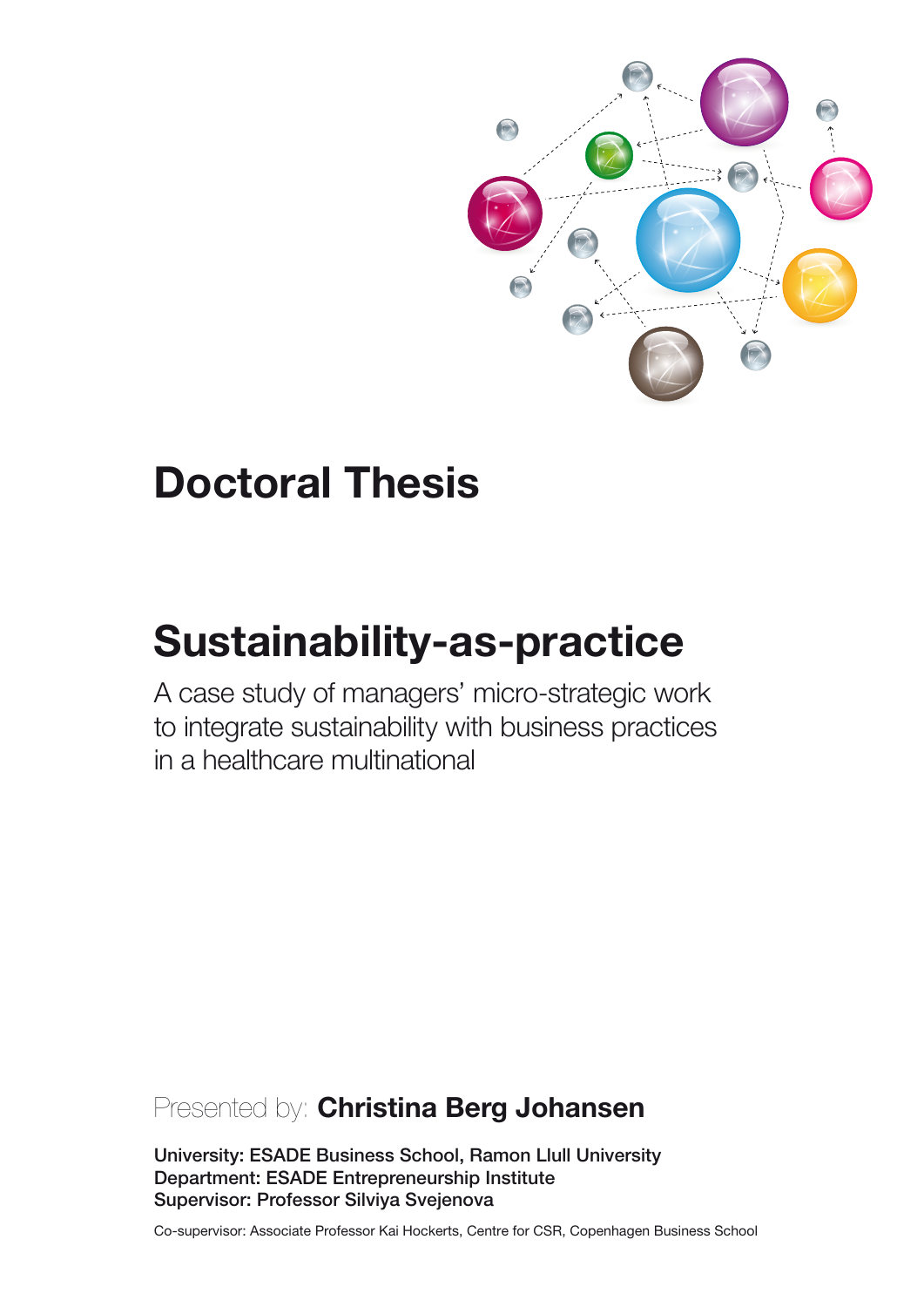

# **Doctoral Thesis**

# **Sustainability-as-practice**

A case study of managers' micro-strategic work to integrate sustainability with business practices in a healthcare multinational

# Presented by: Christina Berg Johansen

University: ESADE Business School, Ramon Llull University Department: ESADE Entrepreneurship Institute Supervisor: Professor Silviya Svejenova

Co-supervisor: Associate Professor Kai Hockerts, Centre for CSR, Copenhagen Business School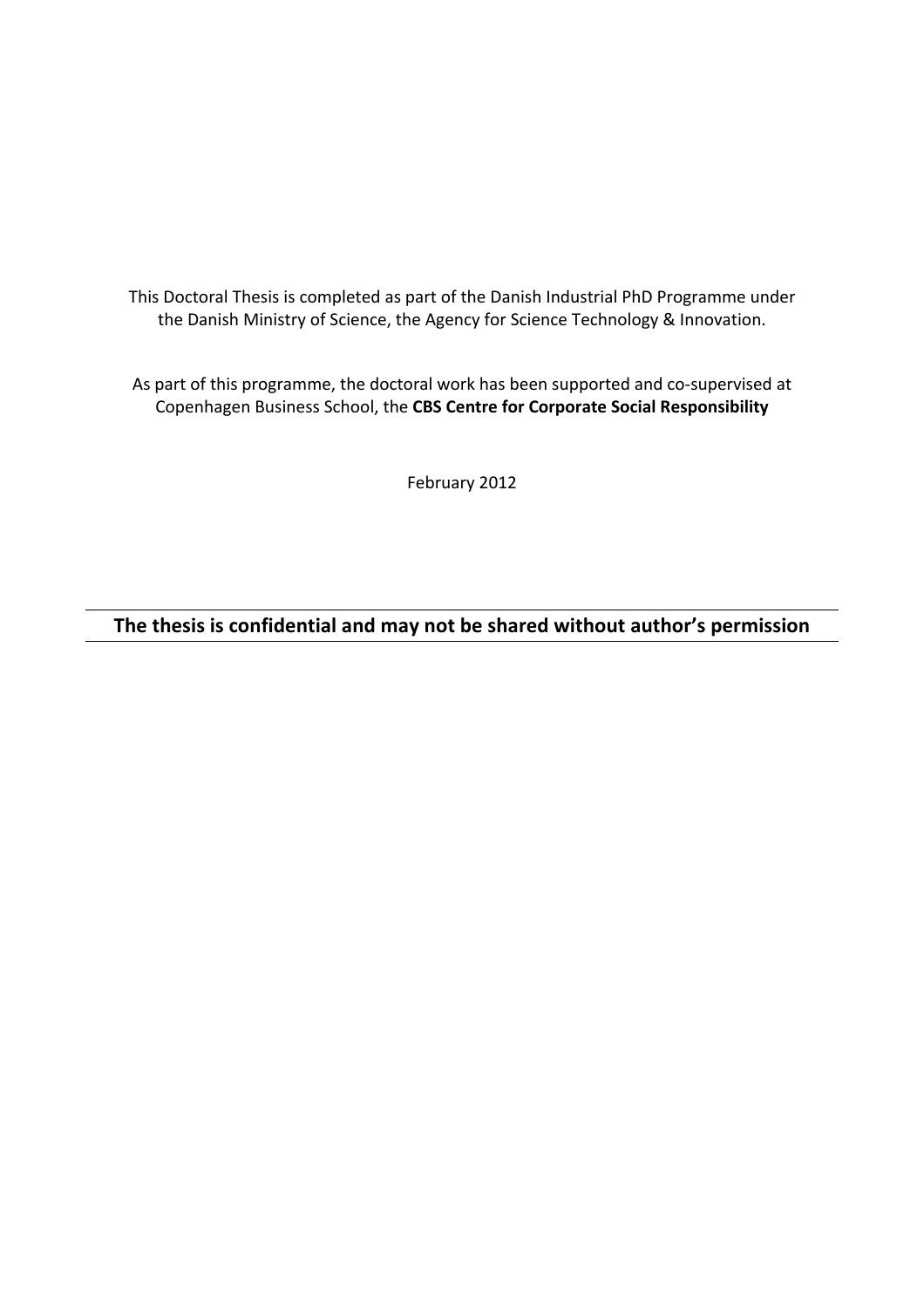This Doctoral Thesis is completed as part of the Danish Industrial PhD Programme under the Danish Ministry of Science, the Agency for Science Technology & Innovation.

As part of this programme, the doctoral work has been supported and co-supervised at Copenhagen%Business%School,%the%**CBS!Centre!for!Corporate!Social!Responsibility**

February 2012

# The thesis is confidential and may not be shared without author's permission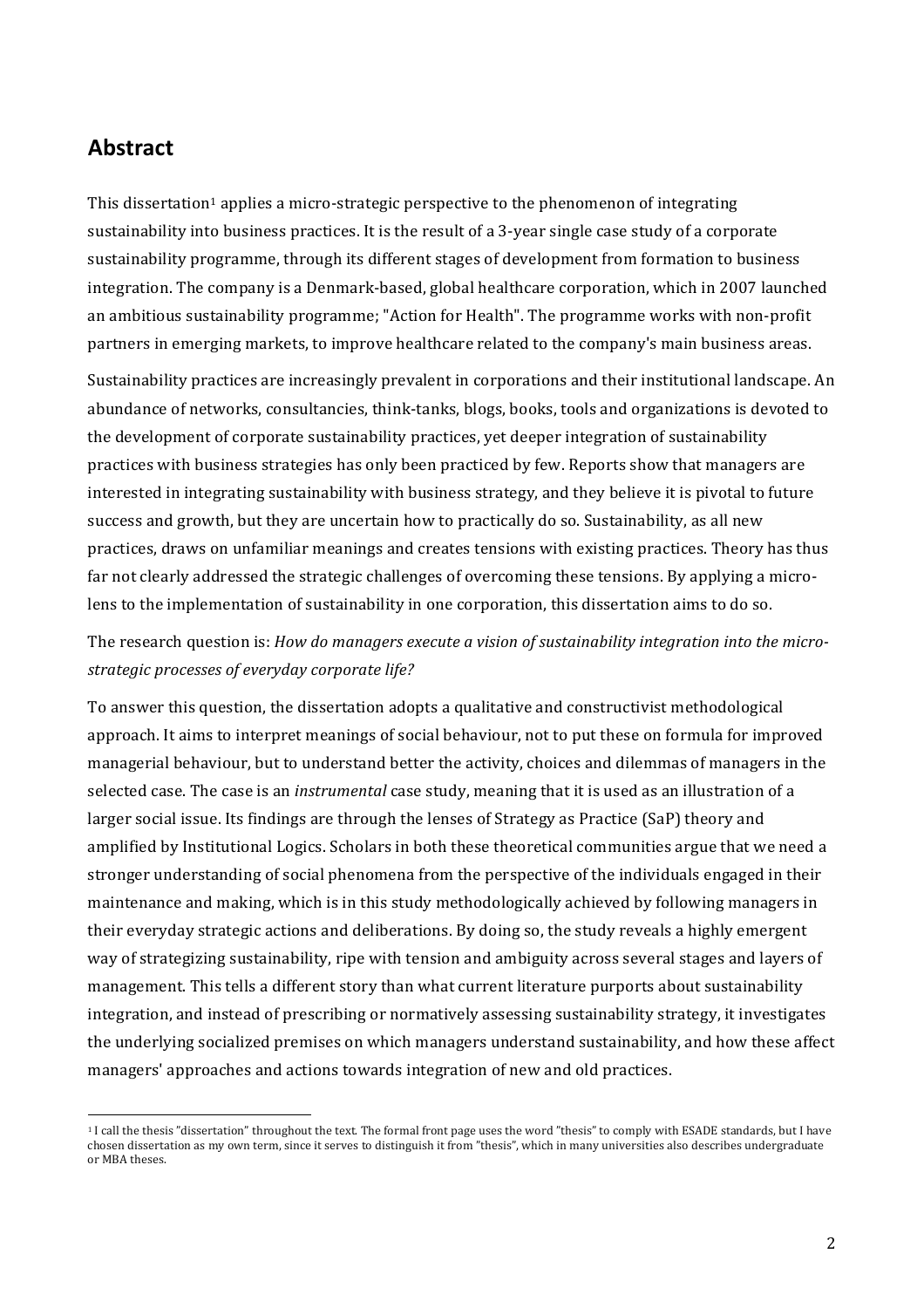# **Abstract**

!!!!!!!!!!!!!!!!!!!!!!!!!!!!!!!!!!!!!!!!!!!!!!!!!!!!!!!!!!!!

This dissertation<sup>1</sup> applies a micro-strategic perspective to the phenomenon of integrating sustainability into business practices. It is the result of a 3-year single case study of a corporate sustainability programme, through its different stages of development from formation to business integration. The company is a Denmark-based, global healthcare corporation, which in 2007 launched an ambitious sustainability programme; "Action for Health". The programme works with non-profit partners in emerging markets, to improve healthcare related to the company's main business areas.

Sustainability practices are increasingly prevalent in corporations and their institutional landscape. An abundance of networks, consultancies, think-tanks, blogs, books, tools and organizations is devoted to the development of corporate sustainability practices, yet deeper integration of sustainability practices with business strategies has only been practiced by few. Reports show that managers are interested in integrating sustainability with business strategy, and they believe it is pivotal to future success and growth, but they are uncertain how to practically do so. Sustainability, as all new practices, draws on unfamiliar meanings and creates tensions with existing practices. Theory has thus far not clearly addressed the strategic challenges of overcoming these tensions. By applying a microlens to the implementation of sustainability in one corporation, this dissertation aims to do so.

# The research question is: *How do managers execute a vision of sustainability integration into the micro*strategic processes of everyday corporate life?

To answer this question, the dissertation adopts a qualitative and constructivist methodological approach. It aims to interpret meanings of social behaviour, not to put these on formula for improved managerial behaviour, but to understand better the activity, choices and dilemmas of managers in the selected case. The case is an *instrumental* case study, meaning that it is used as an illustration of a larger social issue. Its findings are through the lenses of Strategy as Practice (SaP) theory and amplified by Institutional Logics. Scholars in both these theoretical communities argue that we need a stronger understanding of social phenomena from the perspective of the individuals engaged in their maintenance and making, which is in this study methodologically achieved by following managers in their everyday strategic actions and deliberations. By doing so, the study reveals a highly emergent way of strategizing sustainability, ripe with tension and ambiguity across several stages and layers of management. This tells a different story than what current literature purports about sustainability integration, and instead of prescribing or normatively assessing sustainability strategy, it investigates the underlying socialized premises on which managers understand sustainability, and how these affect managers' approaches and actions towards integration of new and old practices.

<sup>&</sup>lt;sup>1</sup> I call the thesis "dissertation" throughout the text. The formal front page uses the word "thesis" to comply with ESADE standards, but I have chosen dissertation as my own term, since it serves to distinguish it from "thesis", which in many universities also describes undergraduate or MBA theses.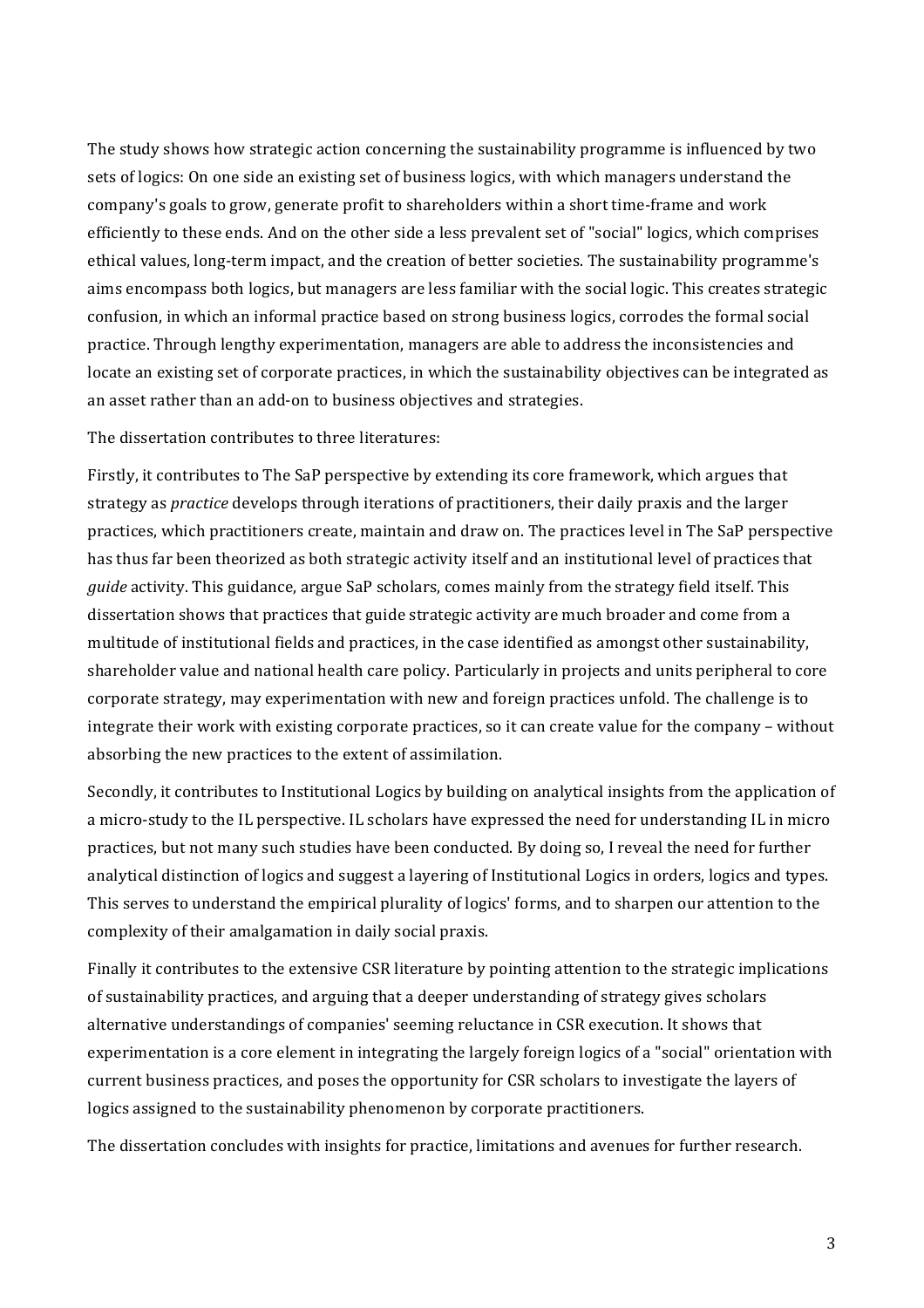The study shows how strategic action concerning the sustainability programme is influenced by two sets of logics: On one side an existing set of business logics, with which managers understand the company's goals to grow, generate profit to shareholders within a short time-frame and work efficiently to these ends. And on the other side a less prevalent set of "social" logics, which comprises ethical values, long-term impact, and the creation of better societies. The sustainability programme's aims encompass both logics, but managers are less familiar with the social logic. This creates strategic confusion, in which an informal practice based on strong business logics, corrodes the formal social practice. Through lengthy experimentation, managers are able to address the inconsistencies and locate an existing set of corporate practices, in which the sustainability objectives can be integrated as an asset rather than an add-on to business objectives and strategies.

The dissertation contributes to three literatures:

Firstly, it contributes to The SaP perspective by extending its core framework, which argues that strategy as *practice* develops through iterations of practitioners, their daily praxis and the larger practices, which practitioners create, maintain and draw on. The practices level in The SaP perspective has thus far been theorized as both strategic activity itself and an institutional level of practices that *guide* activity. This guidance, argue SaP scholars, comes mainly from the strategy field itself. This dissertation shows that practices that guide strategic activity are much broader and come from a multitude of institutional fields and practices, in the case identified as amongst other sustainability, shareholder value and national health care policy. Particularly in projects and units peripheral to core corporate strategy, may experimentation with new and foreign practices unfold. The challenge is to integrate their work with existing corporate practices, so it can create value for the company – without absorbing the new practices to the extent of assimilation.

Secondly, it contributes to Institutional Logics by building on analytical insights from the application of a micro-study to the IL perspective. IL scholars have expressed the need for understanding IL in micro practices, but not many such studies have been conducted. By doing so, I reveal the need for further analytical distinction of logics and suggest a layering of Institutional Logics in orders, logics and types. This serves to understand the empirical plurality of logics' forms, and to sharpen our attention to the complexity of their amalgamation in daily social praxis.

Finally it contributes to the extensive CSR literature by pointing attention to the strategic implications of sustainability practices, and arguing that a deeper understanding of strategy gives scholars alternative understandings of companies' seeming reluctance in CSR execution. It shows that experimentation is a core element in integrating the largely foreign logics of a "social" orientation with current business practices, and poses the opportunity for CSR scholars to investigate the layers of logics assigned to the sustainability phenomenon by corporate practitioners.

The dissertation concludes with insights for practice, limitations and avenues for further research.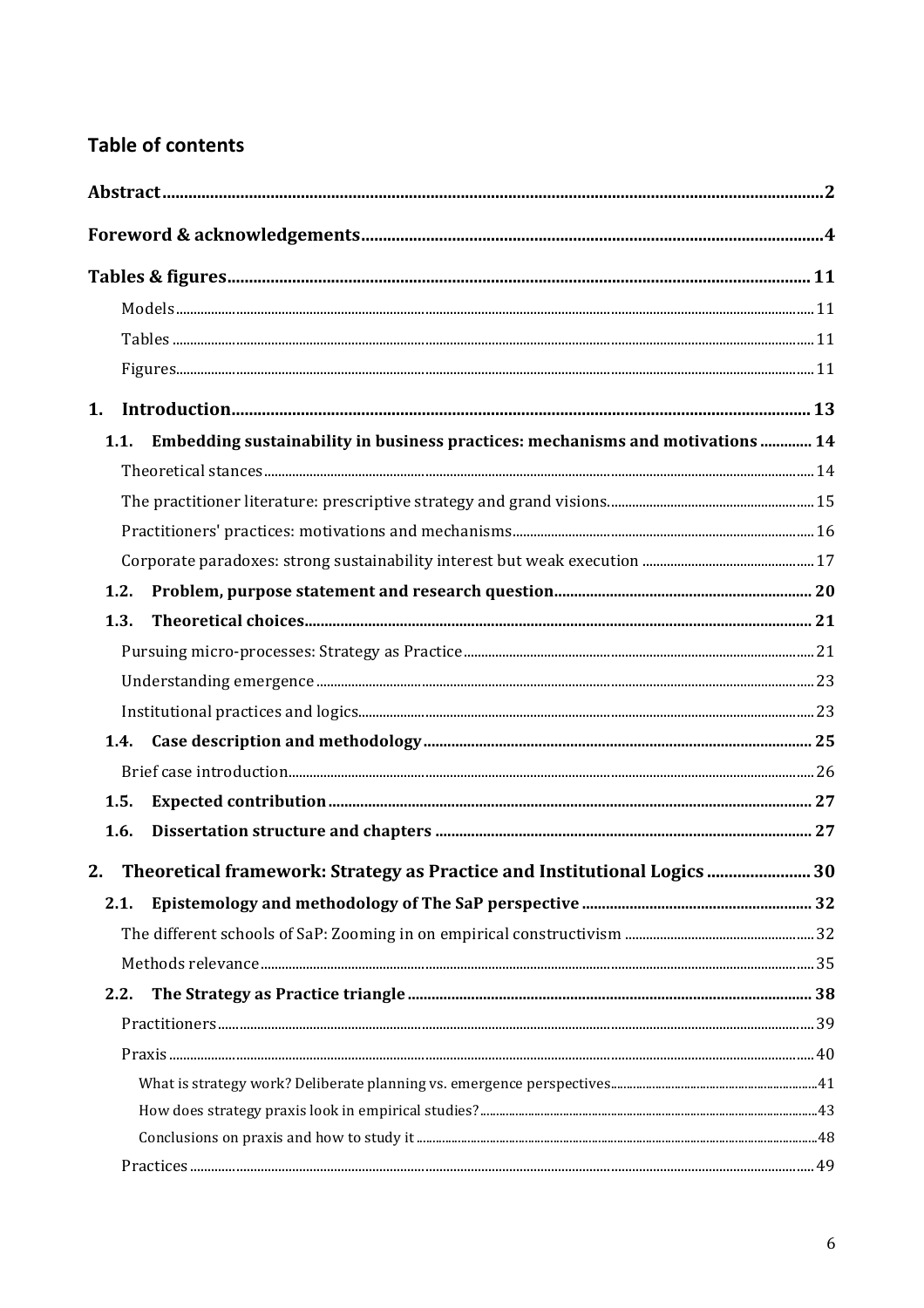# **Table of contents**

| 1.   |                                                                                |  |
|------|--------------------------------------------------------------------------------|--|
| 1.1. | Embedding sustainability in business practices: mechanisms and motivations  14 |  |
|      |                                                                                |  |
|      |                                                                                |  |
|      |                                                                                |  |
|      |                                                                                |  |
| 1.2. |                                                                                |  |
| 1.3. |                                                                                |  |
|      |                                                                                |  |
|      |                                                                                |  |
|      |                                                                                |  |
| 1.4. |                                                                                |  |
|      |                                                                                |  |
| 1.5. |                                                                                |  |
| 1.6. |                                                                                |  |
|      | 2. Theoretical framework: Strategy as Practice and Institutional Logics  30    |  |
| 2.1. |                                                                                |  |
|      |                                                                                |  |
|      |                                                                                |  |
| 2.2. |                                                                                |  |
|      |                                                                                |  |
|      |                                                                                |  |
|      |                                                                                |  |
|      |                                                                                |  |
|      |                                                                                |  |
|      |                                                                                |  |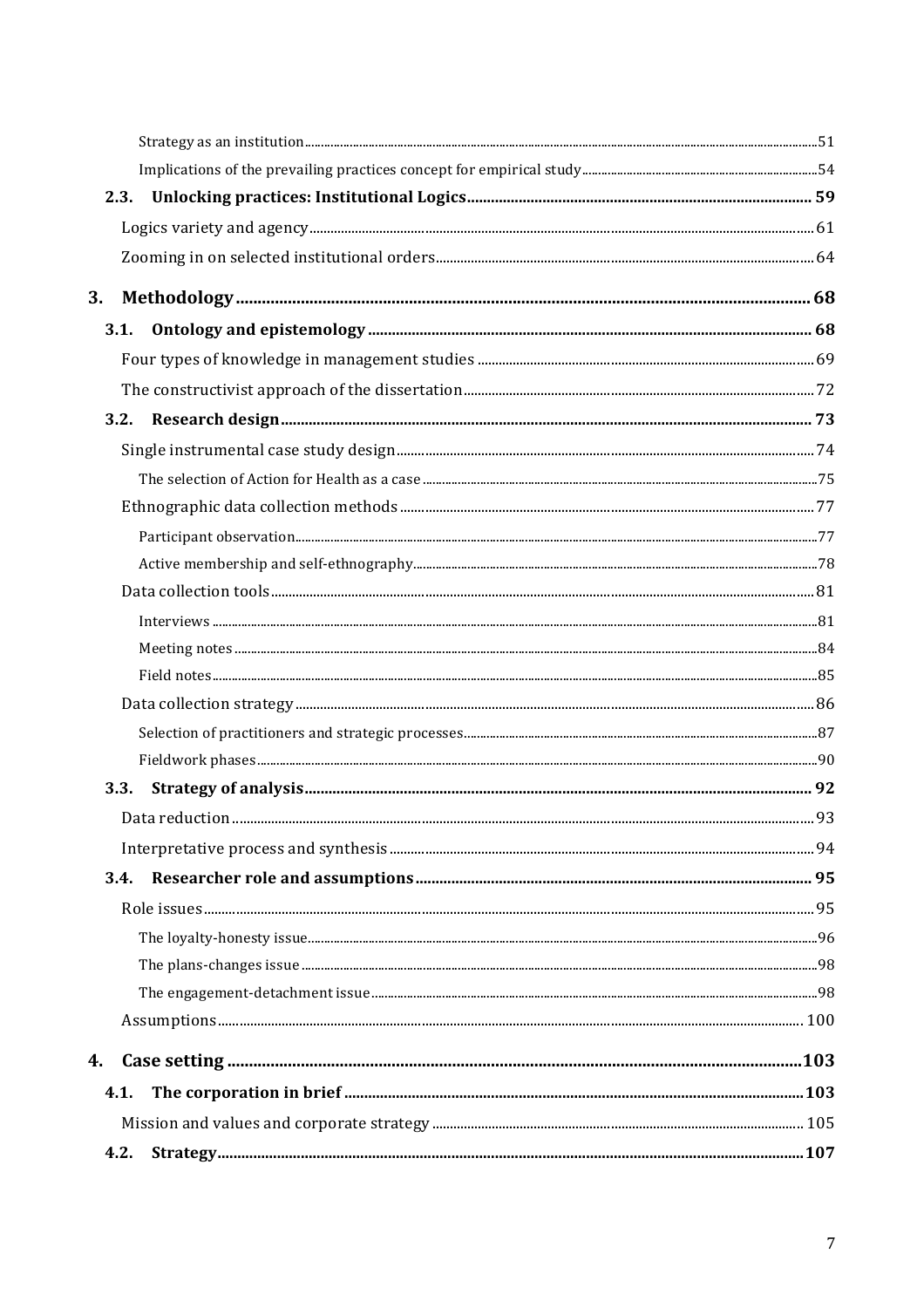| 3.          |  |
|-------------|--|
| 3.1.        |  |
|             |  |
|             |  |
|             |  |
|             |  |
|             |  |
|             |  |
|             |  |
|             |  |
|             |  |
|             |  |
|             |  |
|             |  |
|             |  |
|             |  |
|             |  |
| <b>3.3.</b> |  |
|             |  |
|             |  |
| 3.4.        |  |
|             |  |
|             |  |
|             |  |
|             |  |
|             |  |
| 4.          |  |
| 4.1.        |  |
|             |  |
| 4.2.        |  |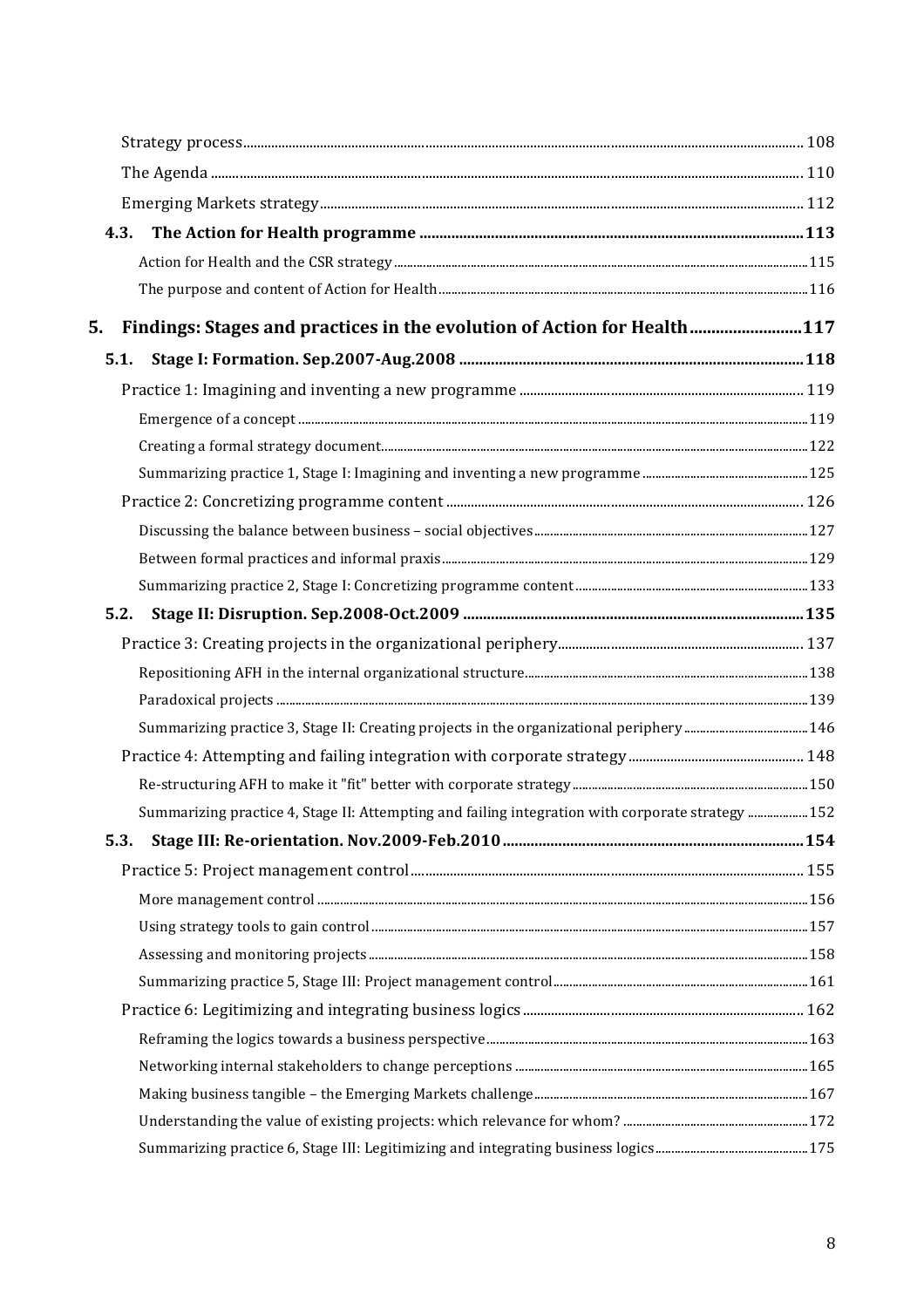| 4.3.                                                                                              |  |
|---------------------------------------------------------------------------------------------------|--|
|                                                                                                   |  |
|                                                                                                   |  |
| Findings: Stages and practices in the evolution of Action for Health117<br>5.                     |  |
| 5.1.                                                                                              |  |
|                                                                                                   |  |
|                                                                                                   |  |
|                                                                                                   |  |
|                                                                                                   |  |
|                                                                                                   |  |
|                                                                                                   |  |
|                                                                                                   |  |
|                                                                                                   |  |
| 5.2.                                                                                              |  |
|                                                                                                   |  |
|                                                                                                   |  |
|                                                                                                   |  |
|                                                                                                   |  |
|                                                                                                   |  |
|                                                                                                   |  |
| Summarizing practice 4, Stage II: Attempting and failing integration with corporate strategy  152 |  |
| 5.3.                                                                                              |  |
|                                                                                                   |  |
|                                                                                                   |  |
|                                                                                                   |  |
|                                                                                                   |  |
|                                                                                                   |  |
|                                                                                                   |  |
|                                                                                                   |  |
|                                                                                                   |  |
|                                                                                                   |  |
|                                                                                                   |  |
|                                                                                                   |  |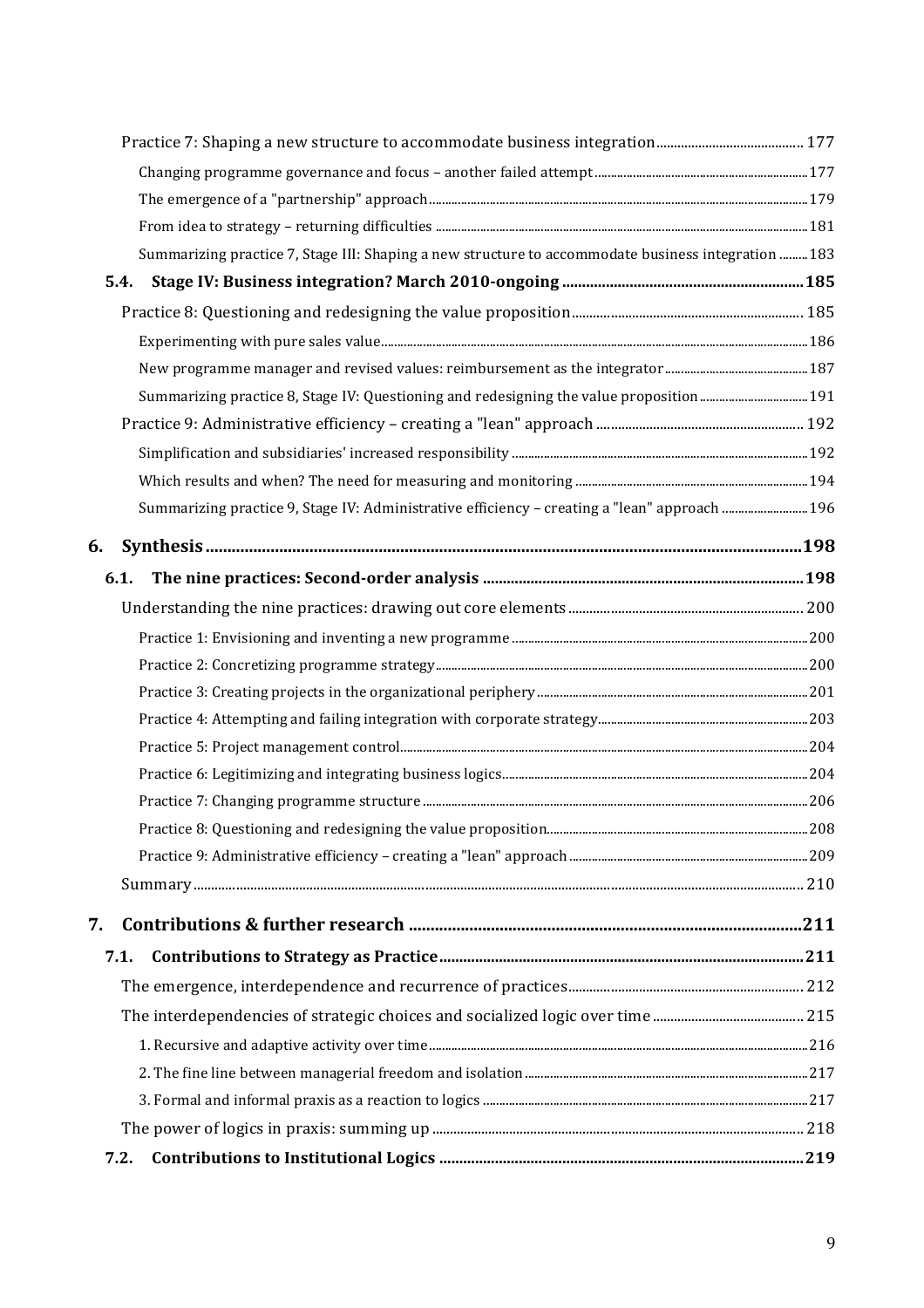| Summarizing practice 7, Stage III: Shaping a new structure to accommodate business integration  183 |  |
|-----------------------------------------------------------------------------------------------------|--|
| 5.4.                                                                                                |  |
|                                                                                                     |  |
|                                                                                                     |  |
|                                                                                                     |  |
|                                                                                                     |  |
|                                                                                                     |  |
|                                                                                                     |  |
|                                                                                                     |  |
| Summarizing practice 9, Stage IV: Administrative efficiency - creating a "lean" approach  196       |  |
| 6.                                                                                                  |  |
| 6.1.                                                                                                |  |
|                                                                                                     |  |
|                                                                                                     |  |
|                                                                                                     |  |
|                                                                                                     |  |
|                                                                                                     |  |
|                                                                                                     |  |
|                                                                                                     |  |
|                                                                                                     |  |
|                                                                                                     |  |
|                                                                                                     |  |
|                                                                                                     |  |
| 7.                                                                                                  |  |
| 7.1.                                                                                                |  |
|                                                                                                     |  |
|                                                                                                     |  |
|                                                                                                     |  |
|                                                                                                     |  |
|                                                                                                     |  |
|                                                                                                     |  |
| 7.2.                                                                                                |  |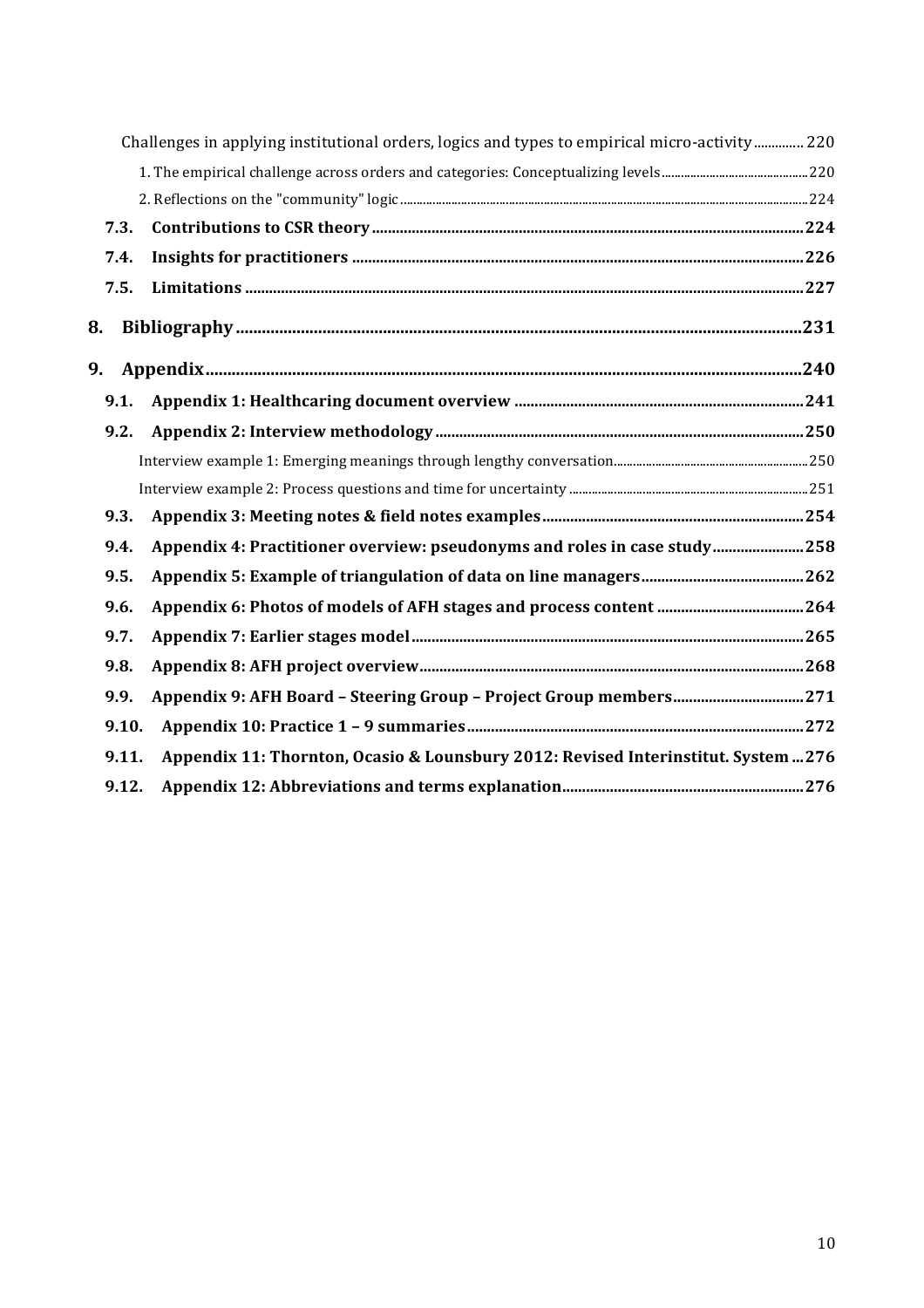|       | 220 Challenges in applying institutional orders, logics and types to empirical micro-activity  220 |  |
|-------|----------------------------------------------------------------------------------------------------|--|
|       |                                                                                                    |  |
|       |                                                                                                    |  |
| 7.3.  |                                                                                                    |  |
| 7.4.  |                                                                                                    |  |
| 7.5.  |                                                                                                    |  |
| 8.    |                                                                                                    |  |
| 9.    |                                                                                                    |  |
| 9.1.  |                                                                                                    |  |
| 9.2.  |                                                                                                    |  |
|       |                                                                                                    |  |
|       |                                                                                                    |  |
| 9.3.  |                                                                                                    |  |
| 9.4.  | Appendix 4: Practitioner overview: pseudonyms and roles in case study258                           |  |
| 9.5.  |                                                                                                    |  |
| 9.6.  |                                                                                                    |  |
| 9.7.  |                                                                                                    |  |
| 9.8.  |                                                                                                    |  |
| 9.9.  |                                                                                                    |  |
| 9.10. |                                                                                                    |  |
| 9.11. | Appendix 11: Thornton, Ocasio & Lounsbury 2012: Revised Interinstitut. System  276                 |  |
| 9.12. |                                                                                                    |  |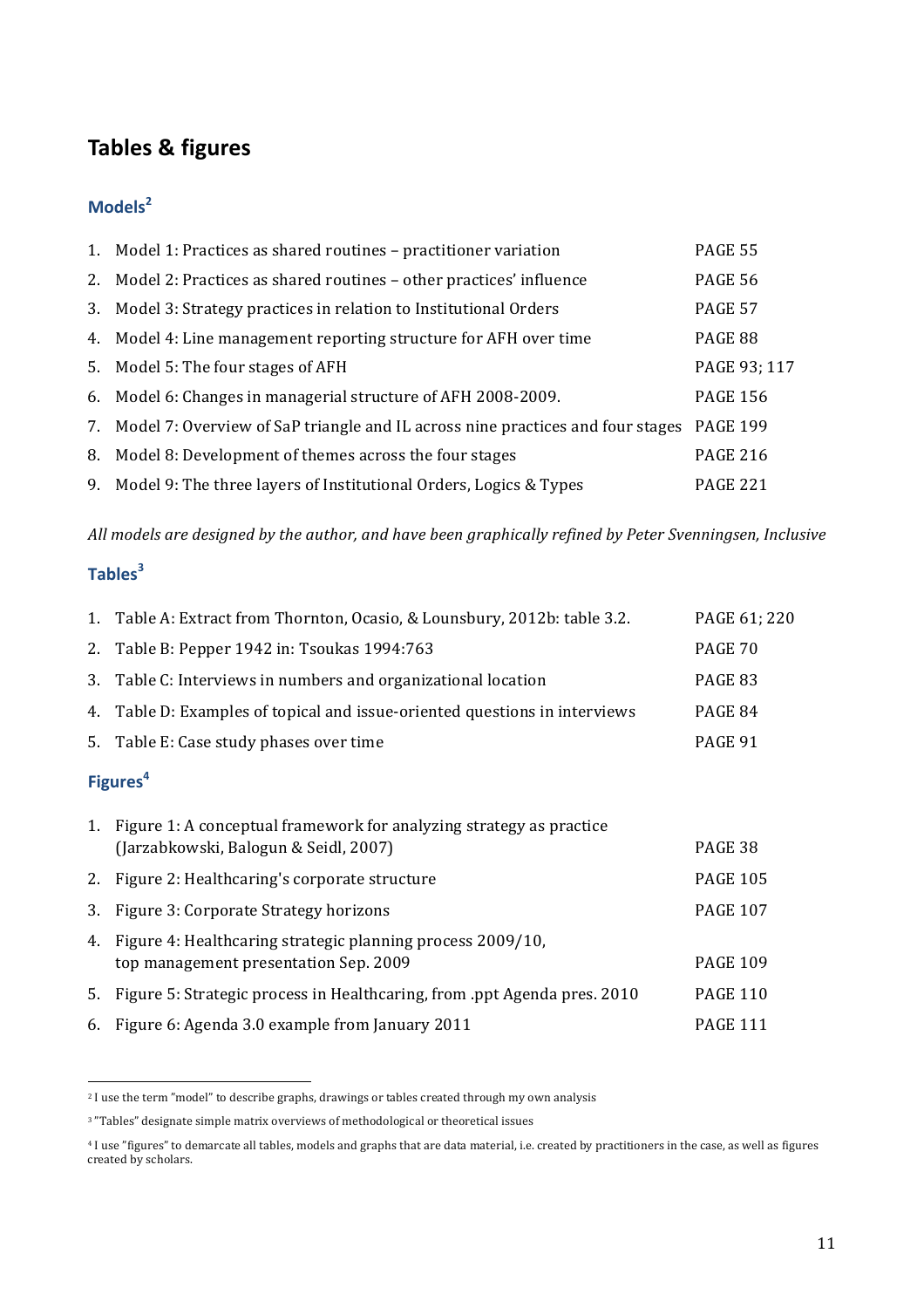# **Tables & figures**

# **Models<sup>2</sup>**

| 1. Model 1: Practices as shared routines - practitioner variation                          | <b>PAGE 55</b>  |
|--------------------------------------------------------------------------------------------|-----------------|
| 2. Model 2: Practices as shared routines - other practices' influence                      | <b>PAGE 56</b>  |
| 3. Model 3: Strategy practices in relation to Institutional Orders                         | <b>PAGE 57</b>  |
| 4. Model 4: Line management reporting structure for AFH over time                          | PAGE 88         |
| 5. Model 5: The four stages of AFH                                                         | PAGE 93; 117    |
| 6. Model 6: Changes in managerial structure of AFH 2008-2009.                              | <b>PAGE 156</b> |
| 7. Model 7: Overview of SaP triangle and IL across nine practices and four stages PAGE 199 |                 |
| 8. Model 8: Development of themes across the four stages                                   | <b>PAGE 216</b> |
| 9. Model 9: The three layers of Institutional Orders, Logics & Types                       | <b>PAGE 221</b> |

All models are designed by the author, and have been graphically refined by Peter Svenningsen, Inclusive

# **Tables<sup>3</sup>**

|                      | 1. Table A: Extract from Thornton, Ocasio, & Lounsbury, 2012b: table 3.2.  | PAGE 61; 220 |
|----------------------|----------------------------------------------------------------------------|--------------|
|                      | 2. Table B: Pepper 1942 in: Tsoukas 1994:763                               | PAGE 70      |
|                      | 3. Table C: Interviews in numbers and organizational location              | PAGE 83      |
|                      | 4. Table D: Examples of topical and issue-oriented questions in interviews | PAGE 84      |
|                      | 5. Table E: Case study phases over time                                    | PAGE 91      |
| Figures <sup>4</sup> |                                                                            |              |

|    | 1. Figure 1: A conceptual framework for analyzing strategy as practice<br>(Jarzabkowski, Balogun & Seidl, 2007) | PAGE 38         |
|----|-----------------------------------------------------------------------------------------------------------------|-----------------|
|    | 2. Figure 2: Healthcaring's corporate structure                                                                 | <b>PAGE 105</b> |
| 3. | Figure 3: Corporate Strategy horizons                                                                           | <b>PAGE 107</b> |
| 4. | Figure 4: Healthcaring strategic planning process 2009/10,<br>top management presentation Sep. 2009             | <b>PAGE 109</b> |
| 5. | Figure 5: Strategic process in Healthcaring, from .ppt Agenda pres. 2010                                        | <b>PAGE 110</b> |
|    | 6. Figure 6: Agenda 3.0 example from January 2011                                                               | <b>PAGE 111</b> |

<sup>&</sup>lt;sup>2</sup> I use the term "model" to describe graphs, drawings or tables created through my own analysis

!!!!!!!!!!!!!!!!!!!!!!!!!!!!!!!!!!!!!!!!!!!!!!!!!!!!!!!!!!!!

<sup>&</sup>lt;sup>3</sup> "Tables" designate simple matrix overviews of methodological or theoretical issues

<sup>&</sup>lt;sup>4</sup> I use "figures" to demarcate all tables, models and graphs that are data material, i.e. created by practitioners in the case, as well as figures created by scholars.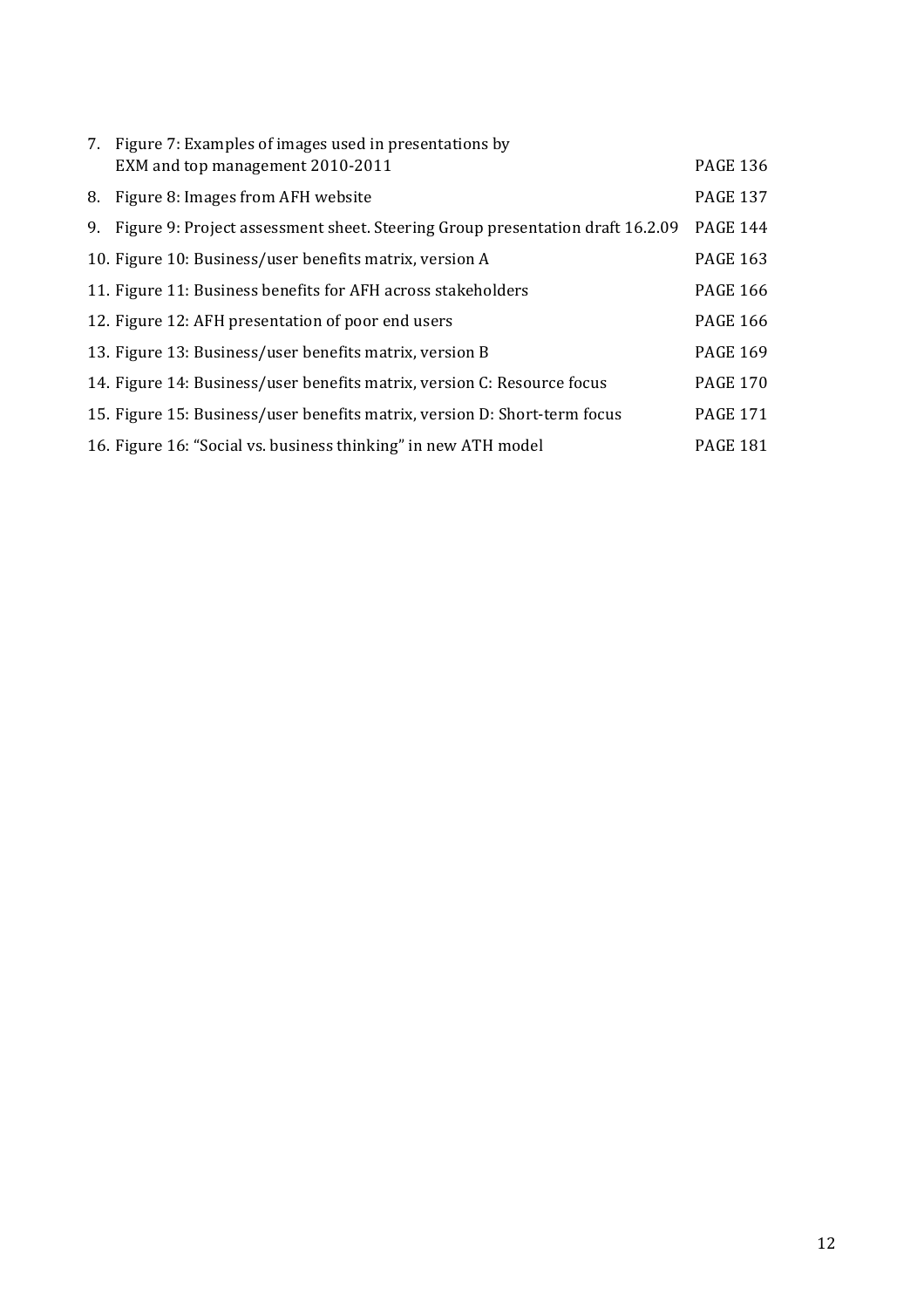| 7. Figure 7: Examples of images used in presentations by<br>EXM and top management 2010-2011 | <b>PAGE 136</b> |
|----------------------------------------------------------------------------------------------|-----------------|
| 8. Figure 8: Images from AFH website                                                         | <b>PAGE 137</b> |
| 9. Figure 9: Project assessment sheet. Steering Group presentation draft 16.2.09             | <b>PAGE 144</b> |
| 10. Figure 10: Business/user benefits matrix, version A                                      | <b>PAGE 163</b> |
| 11. Figure 11: Business benefits for AFH across stakeholders                                 | <b>PAGE 166</b> |
| 12. Figure 12: AFH presentation of poor end users                                            | <b>PAGE 166</b> |
| 13. Figure 13: Business/user benefits matrix, version B                                      | <b>PAGE 169</b> |
| 14. Figure 14: Business/user benefits matrix, version C: Resource focus                      | <b>PAGE 170</b> |
| 15. Figure 15: Business/user benefits matrix, version D: Short-term focus                    | <b>PAGE 171</b> |
| 16. Figure 16: "Social vs. business thinking" in new ATH model                               | <b>PAGE 181</b> |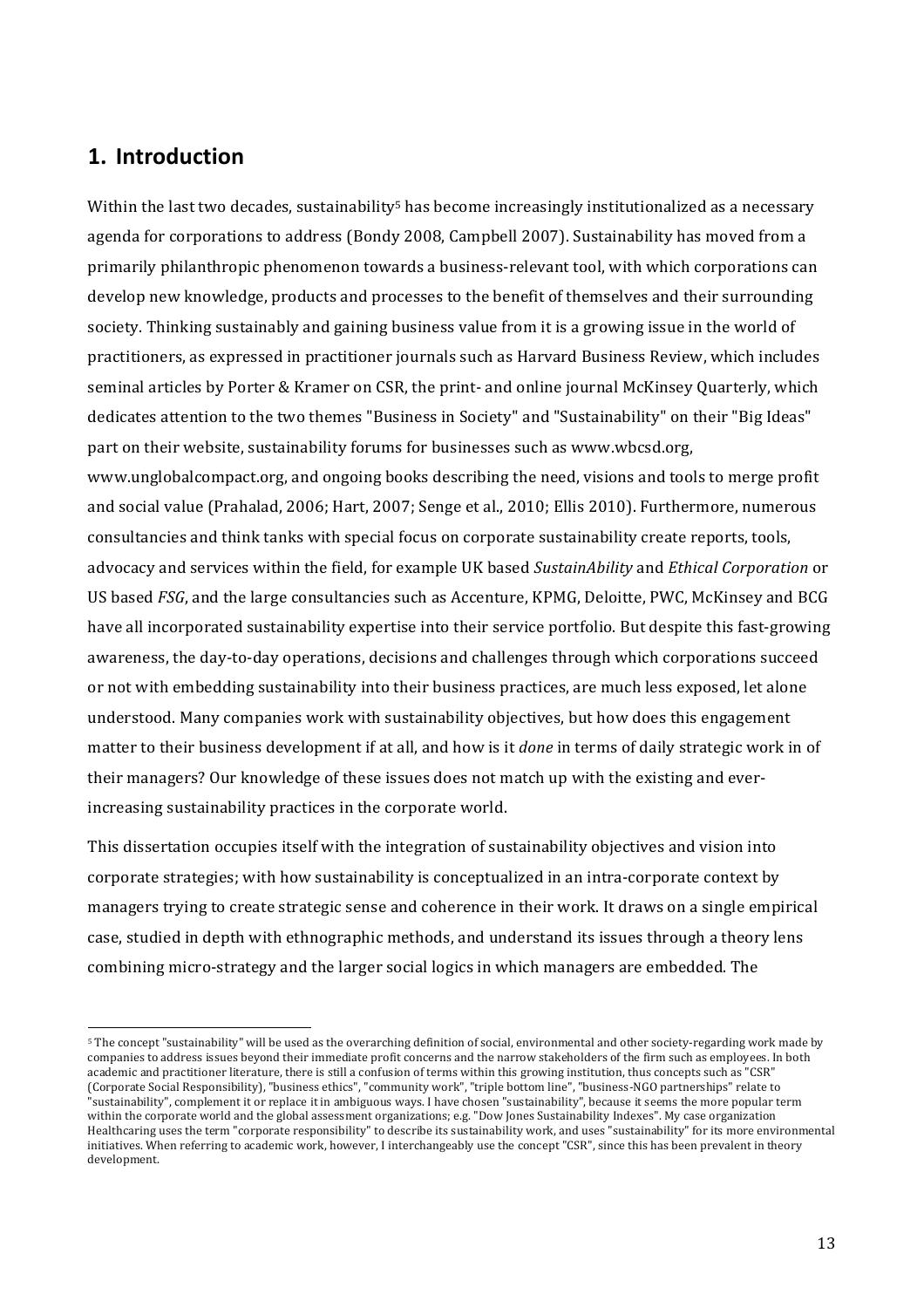# **1. Introduction**

!!!!!!!!!!!!!!!!!!!!!!!!!!!!!!!!!!!!!!!!!!!!!!!!!!!!!!!!!!!!

Within the last two decades, sustainability<sup>5</sup> has become increasingly institutionalized as a necessary agenda for corporations to address (Bondy 2008, Campbell 2007). Sustainability has moved from a primarily philanthropic phenomenon towards a business-relevant tool, with which corporations can develop new knowledge, products and processes to the benefit of themselves and their surrounding society. Thinking sustainably and gaining business value from it is a growing issue in the world of practitioners, as expressed in practitioner journals such as Harvard Business Review, which includes seminal articles by Porter & Kramer on CSR, the print- and online journal McKinsey Quarterly, which dedicates attention to the two themes "Business in Society" and "Sustainability" on their "Big Ideas" part on their website, sustainability forums for businesses such as www.wbcsd.org, www.unglobalcompact.org, and ongoing books describing the need, visions and tools to merge profit and social value (Prahalad, 2006; Hart, 2007; Senge et al., 2010; Ellis 2010). Furthermore, numerous consultancies and think tanks with special focus on corporate sustainability create reports, tools, advocacy and services within the field, for example UK based *SustainAbility* and *Ethical Corporation* or US based *FSG*, and the large consultancies such as Accenture, KPMG, Deloitte, PWC, McKinsey and BCG have all incorporated sustainability expertise into their service portfolio. But despite this fast-growing awareness, the day-to-day operations, decisions and challenges through which corporations succeed or not with embedding sustainability into their business practices, are much less exposed, let alone understood. Many companies work with sustainability objectives, but how does this engagement matter to their business development if at all, and how is it *done* in terms of daily strategic work in of their managers? Our knowledge of these issues does not match up with the existing and everincreasing sustainability practices in the corporate world.

This dissertation occupies itself with the integration of sustainability objectives and vision into corporate strategies; with how sustainability is conceptualized in an intra-corporate context by managers trying to create strategic sense and coherence in their work. It draws on a single empirical case, studied in depth with ethnographic methods, and understand its issues through a theory lens combining micro-strategy and the larger social logics in which managers are embedded. The

<sup>&</sup>lt;sup>5</sup> The concept "sustainability" will be used as the overarching definition of social, environmental and other society-regarding work made by companies to address issues beyond their immediate profit concerns and the narrow stakeholders of the firm such as employees. In both academic and practitioner literature, there is still a confusion of terms within this growing institution, thus concepts such as "CSR" (Corporate Social Responsibility), "business ethics", "community work", "triple bottom line", "business-NGO partnerships" relate to "sustainability", complement it or replace it in ambiguous ways. I have chosen "sustainability", because it seems the more popular term within the corporate world and the global assessment organizations; e.g. "Dow Jones Sustainability Indexes". My case organization Healthcaring uses the term "corporate responsibility" to describe its sustainability work, and uses "sustainability" for its more environmental initiatives. When referring to academic work, however, I interchangeably use the concept "CSR", since this has been prevalent in theory development.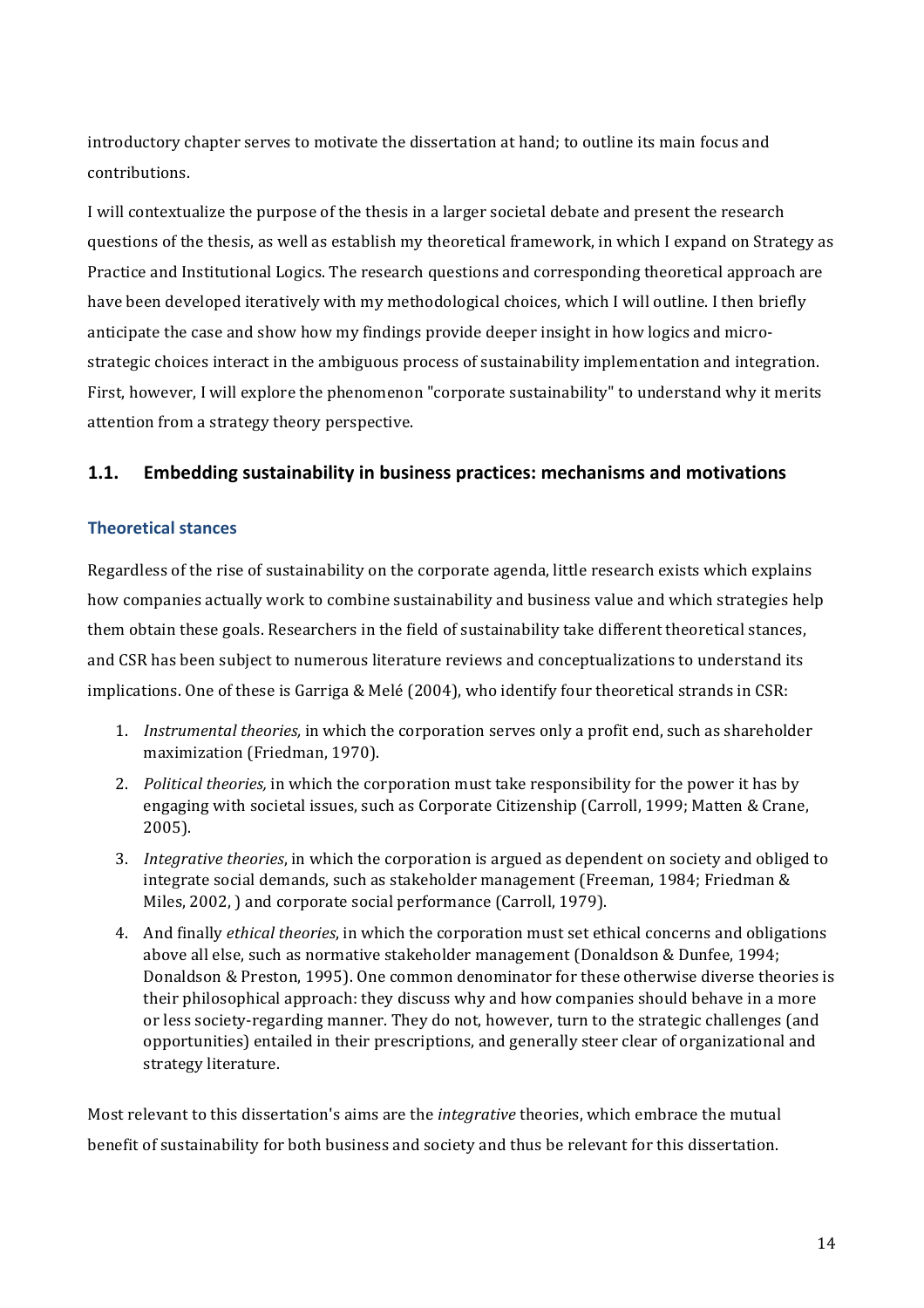introductory chapter serves to motivate the dissertation at hand; to outline its main focus and contributions.!

I will contextualize the purpose of the thesis in a larger societal debate and present the research questions of the thesis, as well as establish my theoretical framework, in which I expand on Strategy as Practice and Institutional Logics. The research questions and corresponding theoretical approach are have been developed iteratively with my methodological choices, which I will outline. I then briefly anticipate the case and show how my findings provide deeper insight in how logics and microstrategic choices interact in the ambiguous process of sustainability implementation and integration. First, however, I will explore the phenomenon "corporate sustainability" to understand why it merits attention from a strategy theory perspective.

### **1.1. Embedding sustainability in business practices: mechanisms and motivations**

#### **Theoretical!stances**

Regardless of the rise of sustainability on the corporate agenda, little research exists which explains how companies actually work to combine sustainability and business value and which strategies help them obtain these goals. Researchers in the field of sustainability take different theoretical stances, and CSR has been subject to numerous literature reviews and conceptualizations to understand its implications. One of these is Garriga & Melé (2004), who identify four theoretical strands in CSR:

- 1. *Instrumental theories,* in which the corporation serves only a profit end, such as shareholder maximization (Friedman, 1970).
- 2. *Political theories,* in which the corporation must take responsibility for the power it has by engaging with societal issues, such as Corporate Citizenship (Carroll, 1999; Matten & Crane, 2005).
- 3. *Integrative theories*, in which the corporation is argued as dependent on society and obliged to integrate social demands, such as stakeholder management (Freeman, 1984; Friedman  $&$ Miles, 2002, ) and corporate social performance (Carroll, 1979).
- 4. And finally *ethical theories*, in which the corporation must set ethical concerns and obligations above all else, such as normative stakeholder management (Donaldson & Dunfee, 1994; Donaldson & Preston, 1995). One common denominator for these otherwise diverse theories is their philosophical approach: they discuss why and how companies should behave in a more or less society-regarding manner. They do not, however, turn to the strategic challenges (and opportunities) entailed in their prescriptions, and generally steer clear of organizational and strategy literature.

Most relevant to this dissertation's aims are the *integrative* theories, which embrace the mutual benefit of sustainability for both business and society and thus be relevant for this dissertation.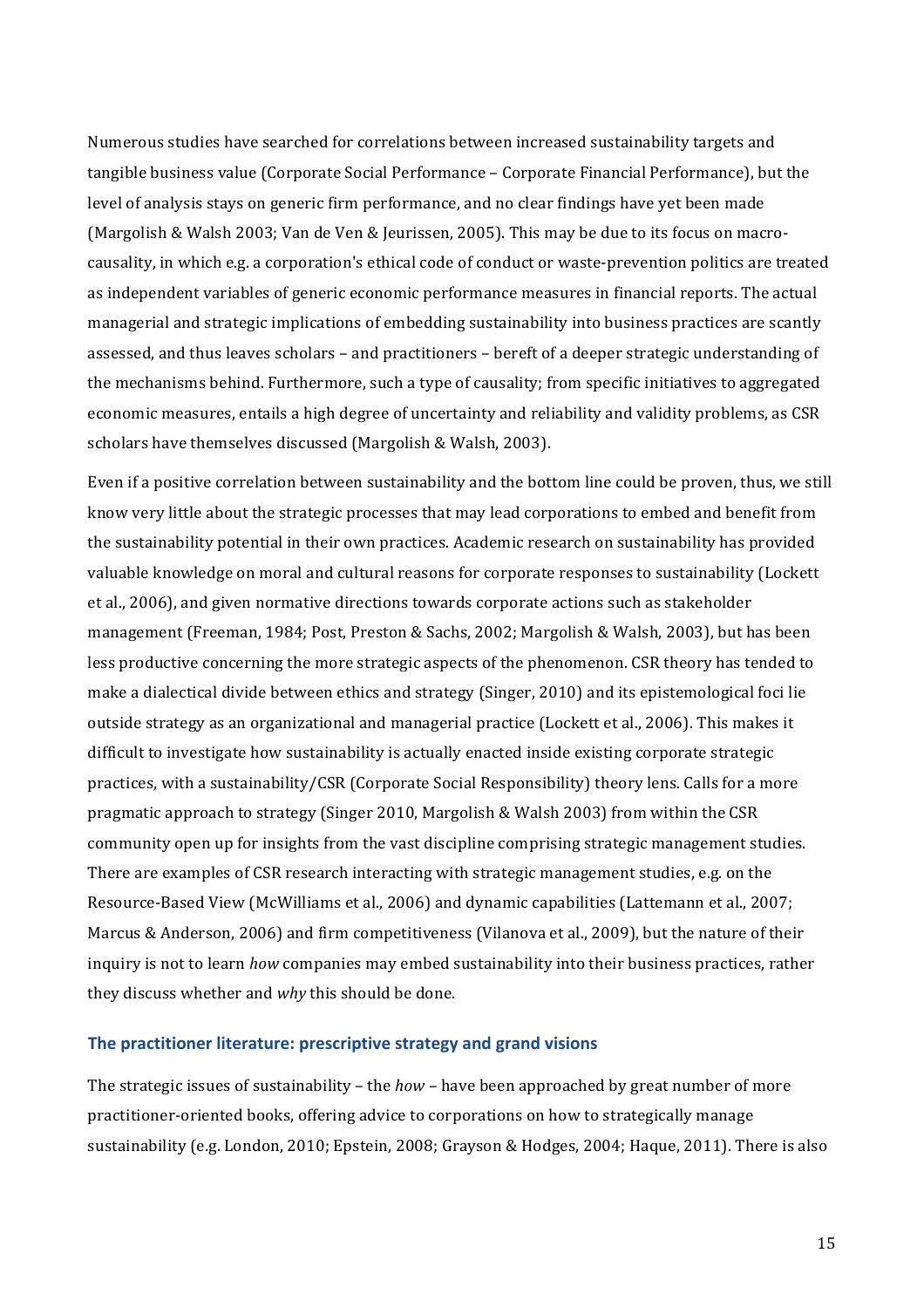Numerous studies have searched for correlations between increased sustainability targets and tangible business value (Corporate Social Performance – Corporate Financial Performance), but the level of analysis stays on generic firm performance, and no clear findings have yet been made (Margolish & Walsh 2003; Van de Ven & Jeurissen, 2005). This may be due to its focus on macrocausality, in which e.g. a corporation's ethical code of conduct or waste-prevention politics are treated as independent variables of generic economic performance measures in financial reports. The actual managerial and strategic implications of embedding sustainability into business practices are scantly assessed, and thus leaves scholars – and practitioners – bereft of a deeper strategic understanding of the mechanisms behind. Furthermore, such a type of causality; from specific initiatives to aggregated economic measures, entails a high degree of uncertainty and reliability and validity problems, as CSR scholars have themselves discussed (Margolish & Walsh, 2003).

Even if a positive correlation between sustainability and the bottom line could be proven, thus, we still know very little about the strategic processes that may lead corporations to embed and benefit from the sustainability potential in their own practices. Academic research on sustainability has provided valuable knowledge on moral and cultural reasons for corporate responses to sustainability (Lockett et al., 2006), and given normative directions towards corporate actions such as stakeholder management (Freeman, 1984; Post, Preston & Sachs, 2002; Margolish & Walsh, 2003), but has been less productive concerning the more strategic aspects of the phenomenon. CSR theory has tended to make a dialectical divide between ethics and strategy (Singer, 2010) and its epistemological foci lie outside strategy as an organizational and managerial practice (Lockett et al., 2006). This makes it difficult to investigate how sustainability is actually enacted inside existing corporate strategic practices, with a sustainability/CSR (Corporate Social Responsibility) theory lens. Calls for a more pragmatic approach to strategy (Singer 2010, Margolish & Walsh 2003) from within the CSR community open up for insights from the vast discipline comprising strategic management studies. There are examples of CSR research interacting with strategic management studies, e.g. on the Resource-Based View (McWilliams et al., 2006) and dynamic capabilities (Lattemann et al., 2007; Marcus & Anderson, 2006) and firm competitiveness (Vilanova et al., 2009), but the nature of their inquiry is not to learn *how* companies may embed sustainability into their business practices, rather they discuss whether and *why* this should be done.

#### The practitioner literature: prescriptive strategy and grand visions

The strategic issues of sustainability – the *how* – have been approached by great number of more practitioner-oriented books, offering advice to corporations on how to strategically manage sustainability (e.g. London, 2010; Epstein, 2008; Grayson & Hodges, 2004; Haque, 2011). There is also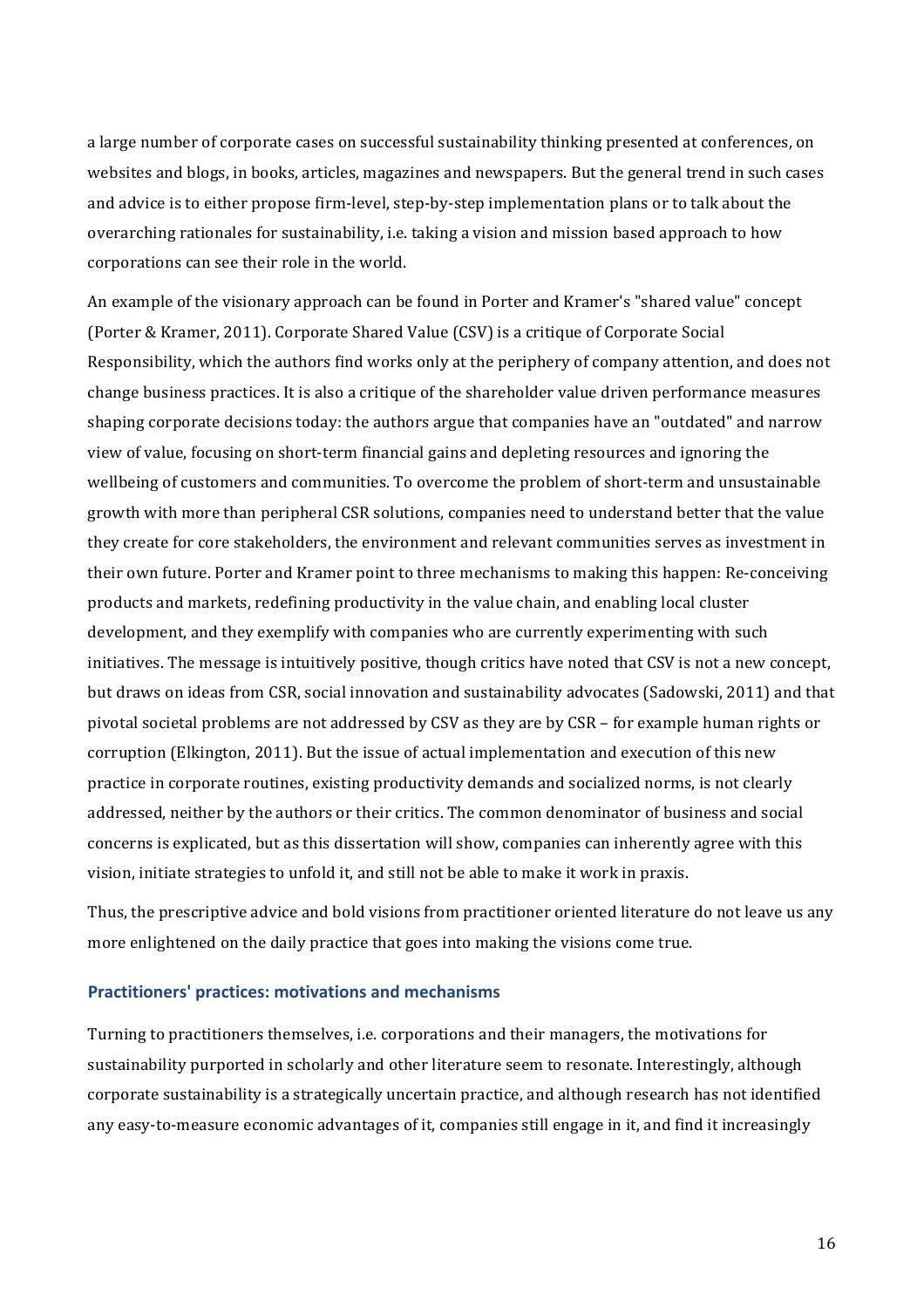a large number of corporate cases on successful sustainability thinking presented at conferences, on websites and blogs, in books, articles, magazines and newspapers. But the general trend in such cases and advice is to either propose firm-level, step-by-step implementation plans or to talk about the overarching rationales for sustainability, i.e. taking a vision and mission based approach to how corporations can see their role in the world.

An example of the visionary approach can be found in Porter and Kramer's "shared value" concept (Porter & Kramer, 2011). Corporate Shared Value (CSV) is a critique of Corporate Social Responsibility, which the authors find works only at the periphery of company attention, and does not change business practices. It is also a critique of the shareholder value driven performance measures shaping corporate decisions today: the authors argue that companies have an "outdated" and narrow view of value, focusing on short-term financial gains and depleting resources and ignoring the wellbeing of customers and communities. To overcome the problem of short-term and unsustainable growth with more than peripheral CSR solutions, companies need to understand better that the value they create for core stakeholders, the environment and relevant communities serves as investment in their own future. Porter and Kramer point to three mechanisms to making this happen: Re-conceiving products and markets, redefining productivity in the value chain, and enabling local cluster development, and they exemplify with companies who are currently experimenting with such initiatives. The message is intuitively positive, though critics have noted that CSV is not a new concept, but draws on ideas from CSR, social innovation and sustainability advocates (Sadowski, 2011) and that pivotal societal problems are not addressed by CSV as they are by CSR – for example human rights or corruption (Elkington, 2011). But the issue of actual implementation and execution of this new practice in corporate routines, existing productivity demands and socialized norms, is not clearly addressed, neither by the authors or their critics. The common denominator of business and social concerns is explicated, but as this dissertation will show, companies can inherently agree with this vision, initiate strategies to unfold it, and still not be able to make it work in praxis.

Thus, the prescriptive advice and bold visions from practitioner oriented literature do not leave us any more enlightened on the daily practice that goes into making the visions come true.

#### Practitioners' practices: motivations and mechanisms

Turning to practitioners themselves, i.e. corporations and their managers, the motivations for sustainability purported in scholarly and other literature seem to resonate. Interestingly, although corporate sustainability is a strategically uncertain practice, and although research has not identified any easy-to-measure economic advantages of it, companies still engage in it, and find it increasingly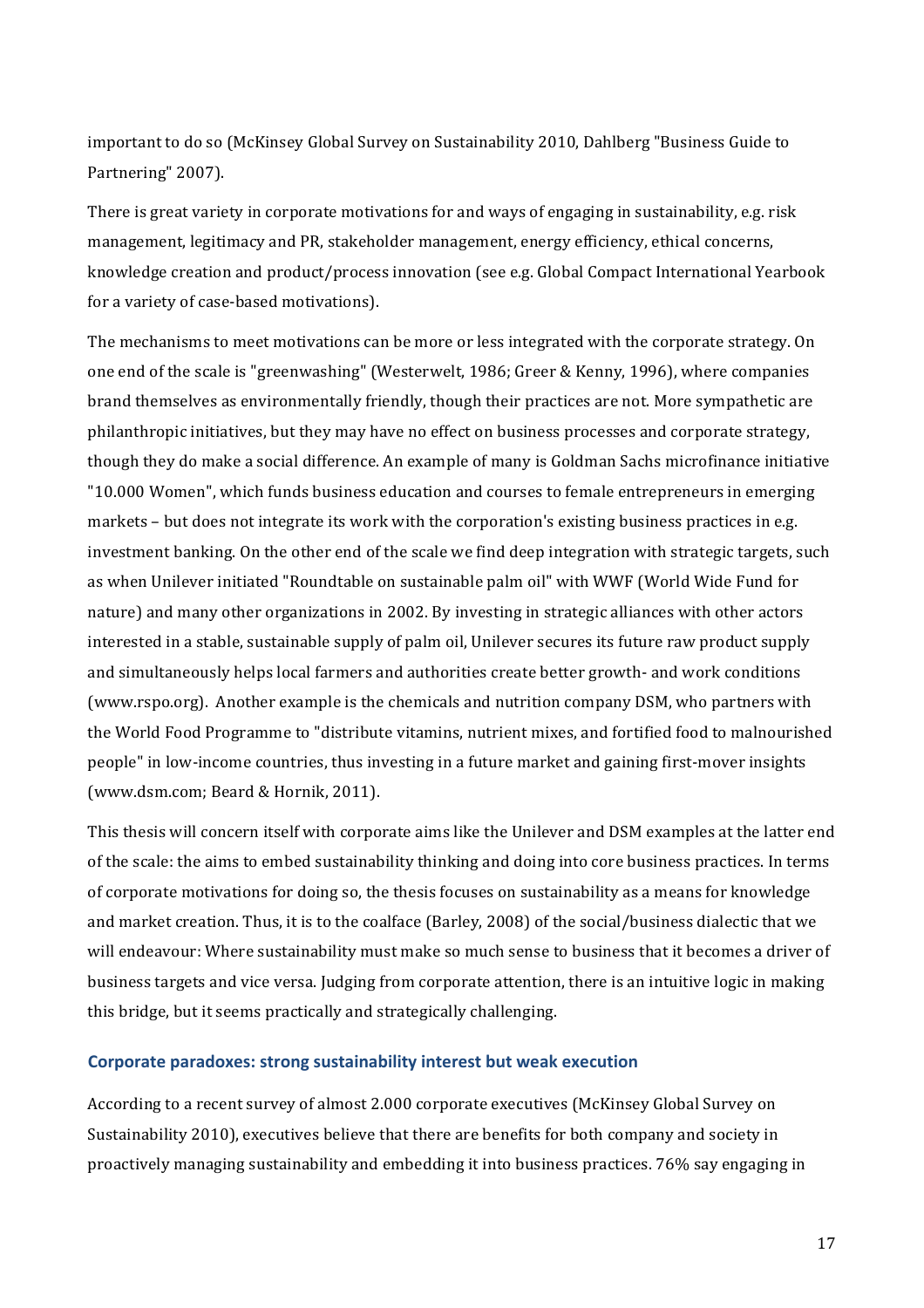important to do so (McKinsey Global Survey on Sustainability 2010, Dahlberg "Business Guide to Partnering" 2007).

There is great variety in corporate motivations for and ways of engaging in sustainability, e.g. risk management, legitimacy and PR, stakeholder management, energy efficiency, ethical concerns, knowledge creation and product/process innovation (see e.g. Global Compact International Yearbook for a variety of case-based motivations).

The mechanisms to meet motivations can be more or less integrated with the corporate strategy. On one end of the scale is "greenwashing" (Westerwelt, 1986; Greer & Kenny, 1996), where companies brand themselves as environmentally friendly, though their practices are not. More sympathetic are philanthropic initiatives, but they may have no effect on business processes and corporate strategy, though they do make a social difference. An example of many is Goldman Sachs microfinance initiative "10.000 Women", which funds business education and courses to female entrepreneurs in emerging markets – but does not integrate its work with the corporation's existing business practices in e.g. investment banking. On the other end of the scale we find deep integration with strategic targets, such as when Unilever initiated "Roundtable on sustainable palm oil" with WWF (World Wide Fund for nature) and many other organizations in 2002. By investing in strategic alliances with other actors interested in a stable, sustainable supply of palm oil, Unilever secures its future raw product supply and simultaneously helps local farmers and authorities create better growth- and work conditions (www.rspo.org). Another example is the chemicals and nutrition company DSM, who partners with the World Food Programme to "distribute vitamins, nutrient mixes, and fortified food to malnourished people" in low-income countries, thus investing in a future market and gaining first-mover insights (www.dsm.com; Beard & Hornik, 2011).

This thesis will concern itself with corporate aims like the Unilever and DSM examples at the latter end of the scale: the aims to embed sustainability thinking and doing into core business practices. In terms of corporate motivations for doing so, the thesis focuses on sustainability as a means for knowledge and market creation. Thus, it is to the coalface (Barley, 2008) of the social/business dialectic that we will endeavour: Where sustainability must make so much sense to business that it becomes a driver of business targets and vice versa. Judging from corporate attention, there is an intuitive logic in making this bridge, but it seems practically and strategically challenging.

#### **Corporate paradoxes: strong sustainability interest but weak execution**

According to a recent survey of almost 2.000 corporate executives (McKinsey Global Survey on Sustainability 2010), executives believe that there are benefits for both company and society in proactively managing sustainability and embedding it into business practices. 76% say engaging in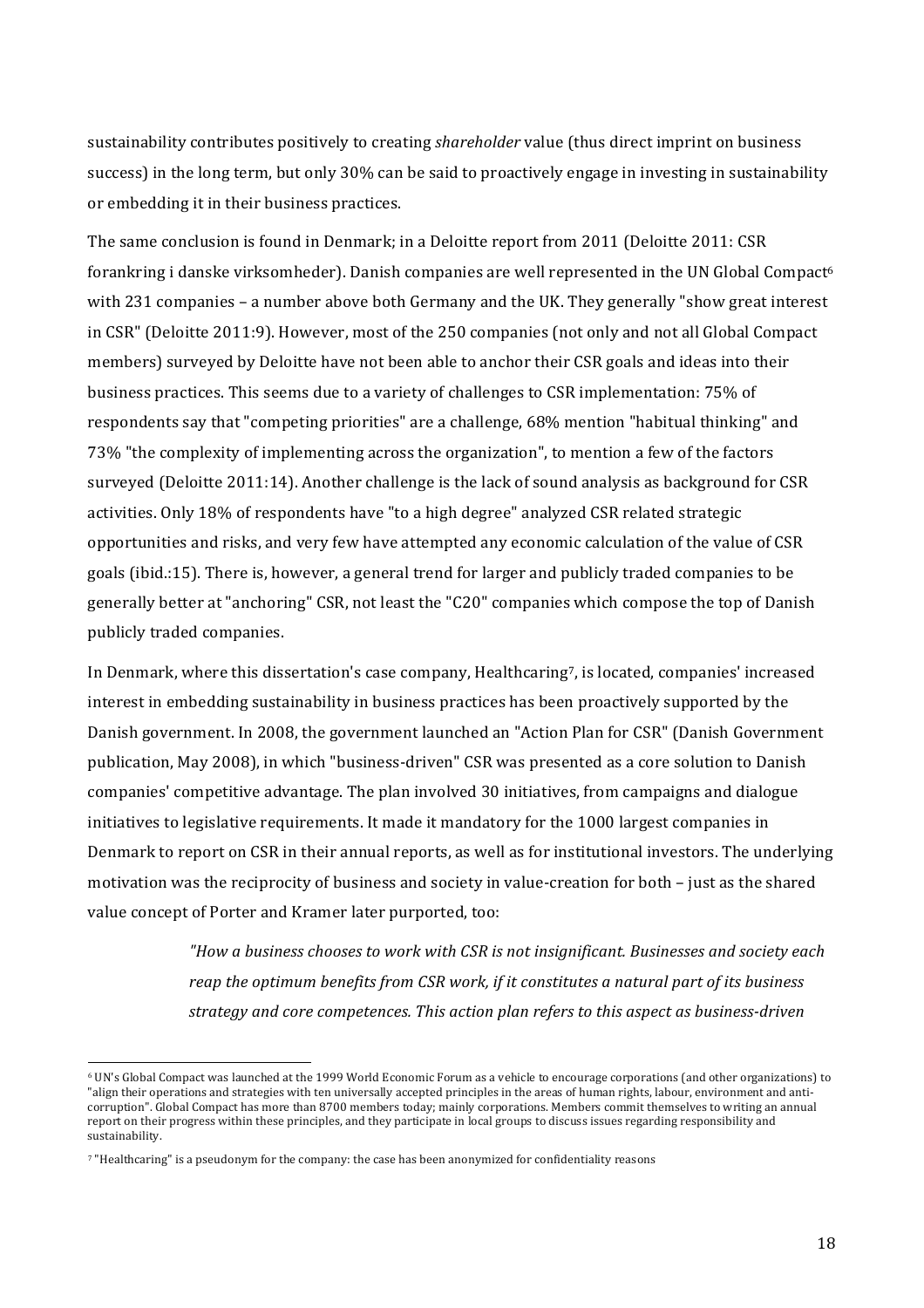sustainability contributes positively to creating *shareholder* value (thus direct imprint on business success) in the long term, but only 30% can be said to proactively engage in investing in sustainability or embedding it in their business practices.

The same conclusion is found in Denmark; in a Deloitte report from 2011 (Deloitte 2011: CSR forankring i danske virksomheder). Danish companies are well represented in the UN Global Compact<sup>6</sup> with 231 companies – a number above both Germany and the UK. They generally "show great interest in CSR" (Deloitte 2011:9). However, most of the 250 companies (not only and not all Global Compact members) surveyed by Deloitte have not been able to anchor their CSR goals and ideas into their business practices. This seems due to a variety of challenges to CSR implementation: 75% of respondents say that "competing priorities" are a challenge, 68% mention "habitual thinking" and 73% "the complexity of implementing across the organization", to mention a few of the factors surveyed (Deloitte 2011:14). Another challenge is the lack of sound analysis as background for CSR activities. Only 18% of respondents have "to a high degree" analyzed CSR related strategic opportunities and risks, and very few have attempted any economic calculation of the value of CSR goals (ibid.:15). There is, however, a general trend for larger and publicly traded companies to be generally better at "anchoring" CSR, not least the "C20" companies which compose the top of Danish publicly traded companies.

In Denmark, where this dissertation's case company, Healthcaring7, is located, companies' increased interest in embedding sustainability in business practices has been proactively supported by the Danish government. In 2008, the government launched an "Action Plan for CSR" (Danish Government publication, May 2008), in which "business-driven" CSR was presented as a core solution to Danish companies' competitive advantage. The plan involved 30 initiatives, from campaigns and dialogue initiatives to legislative requirements. It made it mandatory for the 1000 largest companies in Denmark to report on CSR in their annual reports, as well as for institutional investors. The underlying motivation was the reciprocity of business and society in value-creation for both – just as the shared value concept of Porter and Kramer later purported, too:

> *"How\$a\$business\$chooses\$to\$work\$with CSR\$is\$not\$insignificant.\$Businesses\$and\$society each\$ reap the optimum benefits from CSR work, if it constitutes a natural part of its business strategy and core competences. This action plan refers to this aspect as business-driven*

!!!!!!!!!!!!!!!!!!!!!!!!!!!!!!!!!!!!!!!!!!!!!!!!!!!!!!!!!!!!

<sup>&</sup>lt;sup>6</sup> UN's Global Compact was launched at the 1999 World Economic Forum as a vehicle to encourage corporations (and other organizations) to "align their operations and strategies with ten universally accepted principles in the areas of human rights, labour, environment and anticorruption". Global Compact has more than 8700 members today; mainly corporations. Members commit themselves to writing an annual report on their progress within these principles, and they participate in local groups to discuss issues regarding responsibility and sustainability.

<sup>&</sup>lt;sup>7</sup> "Healthcaring" is a pseudonym for the company: the case has been anonymized for confidentiality reasons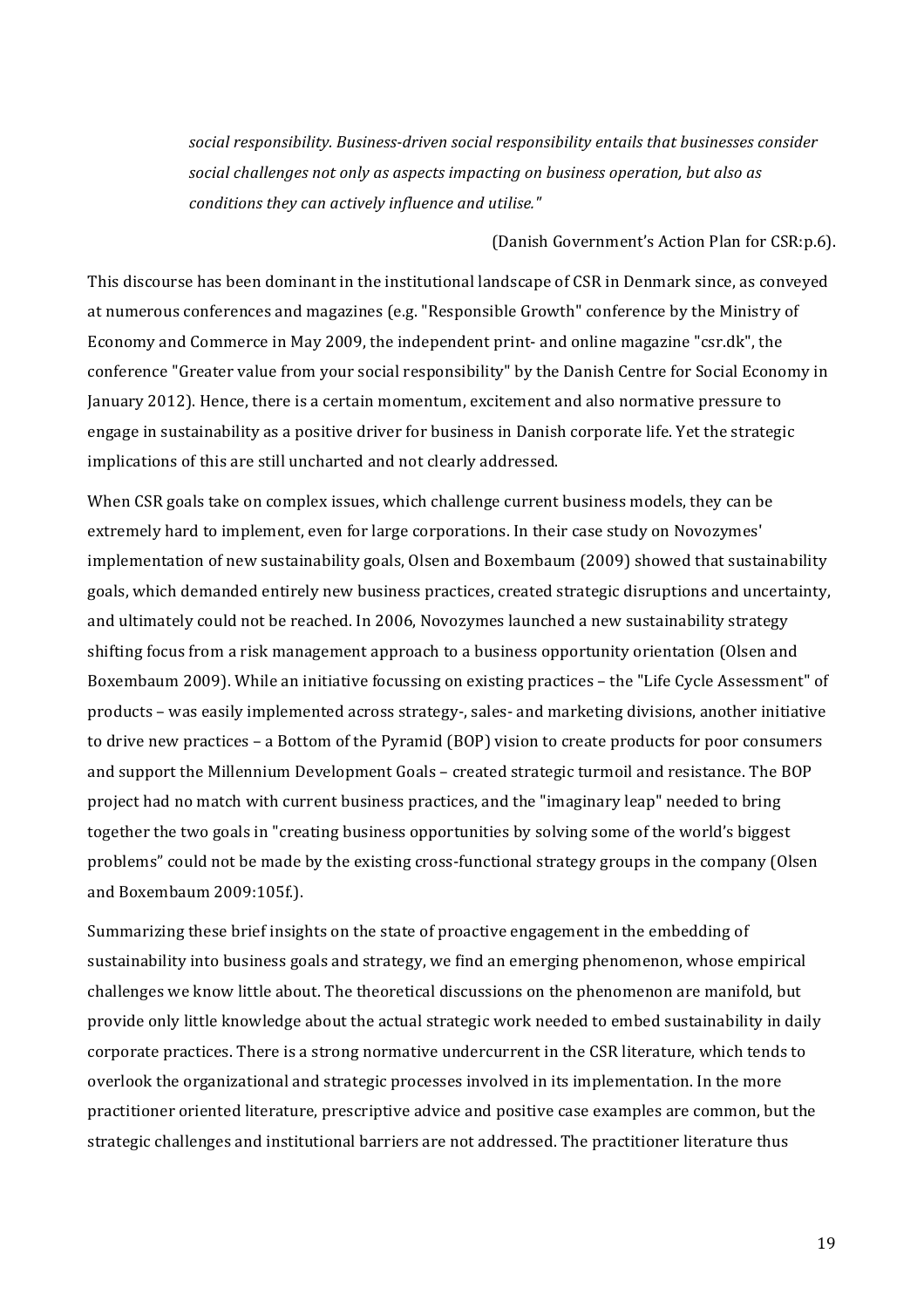social responsibility. Business-driven social responsibility entails that businesses consider social challenges not only as aspects impacting on business operation, but also as conditions they can actively influence and utilise."

(Danish Government's Action Plan for CSR:p.6).

This discourse has been dominant in the institutional landscape of CSR in Denmark since, as conveved at numerous conferences and magazines (e.g. "Responsible Growth" conference by the Ministry of Economy and Commerce in May 2009, the independent print- and online magazine "csr.dk", the conference "Greater value from your social responsibility" by the Danish Centre for Social Economy in January 2012). Hence, there is a certain momentum, excitement and also normative pressure to engage in sustainability as a positive driver for business in Danish corporate life. Yet the strategic implications of this are still uncharted and not clearly addressed.

When CSR goals take on complex issues, which challenge current business models, they can be extremely hard to implement, even for large corporations. In their case study on Novozymes' implementation of new sustainability goals, Olsen and Boxembaum (2009) showed that sustainability goals, which demanded entirely new business practices, created strategic disruptions and uncertainty, and ultimately could not be reached. In 2006, Novozymes launched a new sustainability strategy shifting focus from a risk management approach to a business opportunity orientation (Olsen and Boxembaum 2009). While an initiative focussing on existing practices - the "Life Cycle Assessment" of products - was easily implemented across strategy-, sales- and marketing divisions, another initiative to drive new practices – a Bottom of the Pyramid (BOP) vision to create products for poor consumers and support the Millennium Development Goals – created strategic turmoil and resistance. The BOP project had no match with current business practices, and the "imaginary leap" needed to bring together the two goals in "creating business opportunities by solving some of the world's biggest problems" could not be made by the existing cross-functional strategy groups in the company (Olsen and Boxembaum 2009:105f.).

Summarizing these brief insights on the state of proactive engagement in the embedding of sustainability into business goals and strategy, we find an emerging phenomenon, whose empirical challenges we know little about. The theoretical discussions on the phenomenon are manifold, but provide only little knowledge about the actual strategic work needed to embed sustainability in daily corporate practices. There is a strong normative undercurrent in the CSR literature, which tends to overlook the organizational and strategic processes involved in its implementation. In the more practitioner oriented literature, prescriptive advice and positive case examples are common, but the strategic challenges and institutional barriers are not addressed. The practitioner literature thus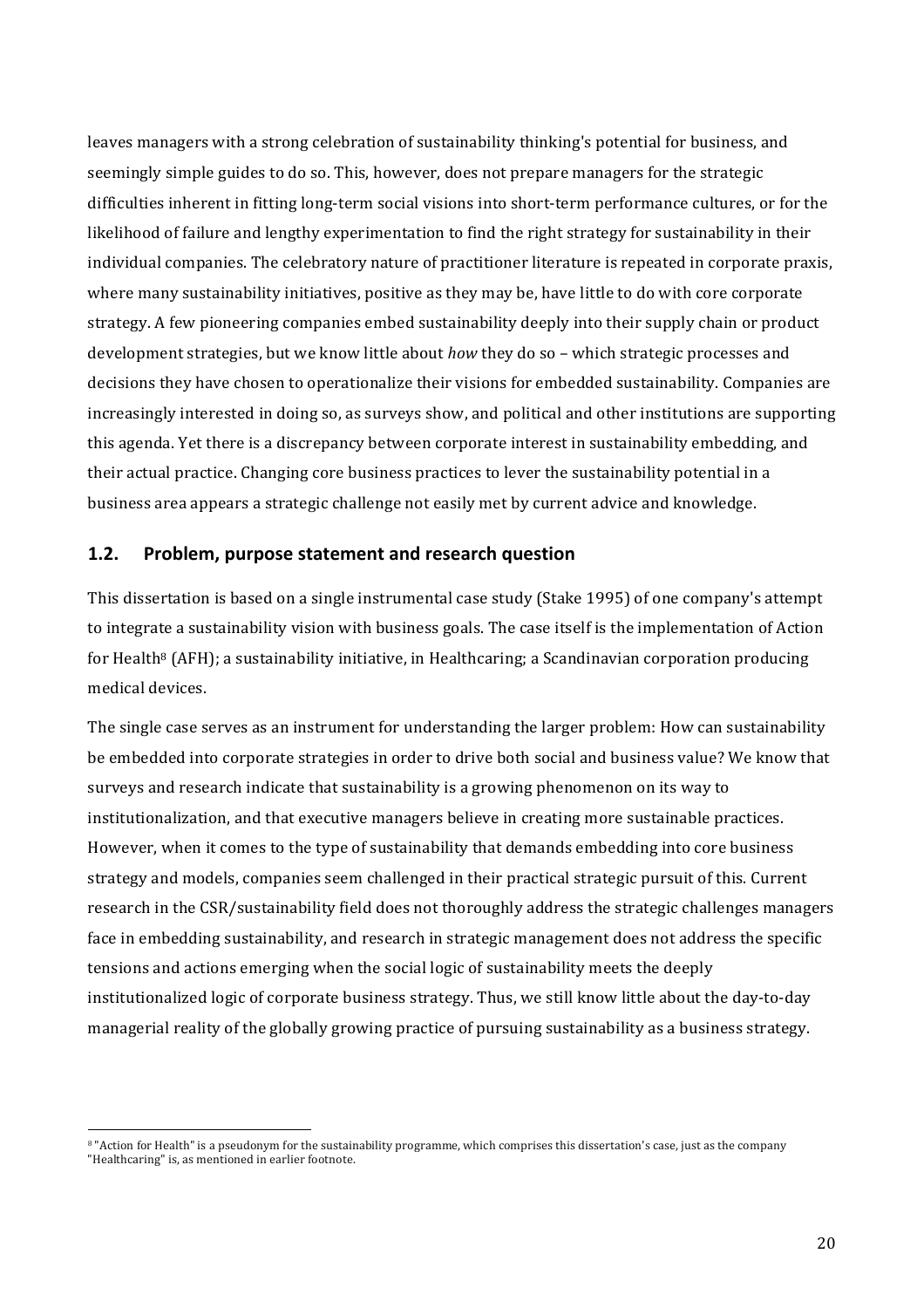leaves managers with a strong celebration of sustainability thinking's potential for business, and seemingly simple guides to do so. This, however, does not prepare managers for the strategic difficulties inherent in fitting long-term social visions into short-term performance cultures, or for the likelihood of failure and lengthy experimentation to find the right strategy for sustainability in their individual companies. The celebratory nature of practitioner literature is repeated in corporate praxis, where many sustainability initiatives, positive as they may be, have little to do with core corporate strategy. A few pioneering companies embed sustainability deeply into their supply chain or product development strategies, but we know little about *how* they do so – which strategic processes and decisions they have chosen to operationalize their visions for embedded sustainability. Companies are increasingly interested in doing so, as surveys show, and political and other institutions are supporting this agenda. Yet there is a discrepancy between corporate interest in sustainability embedding, and their actual practice. Changing core business practices to lever the sustainability potential in a business area appears a strategic challenge not easily met by current advice and knowledge.

#### **1.2.** Problem, purpose statement and research question

This dissertation is based on a single instrumental case study (Stake 1995) of one company's attempt to integrate a sustainability vision with business goals. The case itself is the implementation of Action for Health<sup>8</sup> (AFH); a sustainability initiative, in Healthcaring; a Scandinavian corporation producing medical devices.

The single case serves as an instrument for understanding the larger problem: How can sustainability be embedded into corporate strategies in order to drive both social and business value? We know that surveys and research indicate that sustainability is a growing phenomenon on its way to institutionalization, and that executive managers believe in creating more sustainable practices. However, when it comes to the type of sustainability that demands embedding into core business strategy and models, companies seem challenged in their practical strategic pursuit of this. Current research in the CSR/sustainability field does not thoroughly address the strategic challenges managers face in embedding sustainability, and research in strategic management does not address the specific tensions and actions emerging when the social logic of sustainability meets the deeply institutionalized logic of corporate business strategy. Thus, we still know little about the day-to-day managerial reality of the globally growing practice of pursuing sustainability as a business strategy.

!!!!!!!!!!!!!!!!!!!!!!!!!!!!!!!!!!!!!!!!!!!!!!!!!!!!!!!!!!!!

<sup>8 &</sup>quot;Action for Health" is a pseudonym for the sustainability programme, which comprises this dissertation's case, just as the company "Healthcaring" is, as mentioned in earlier footnote.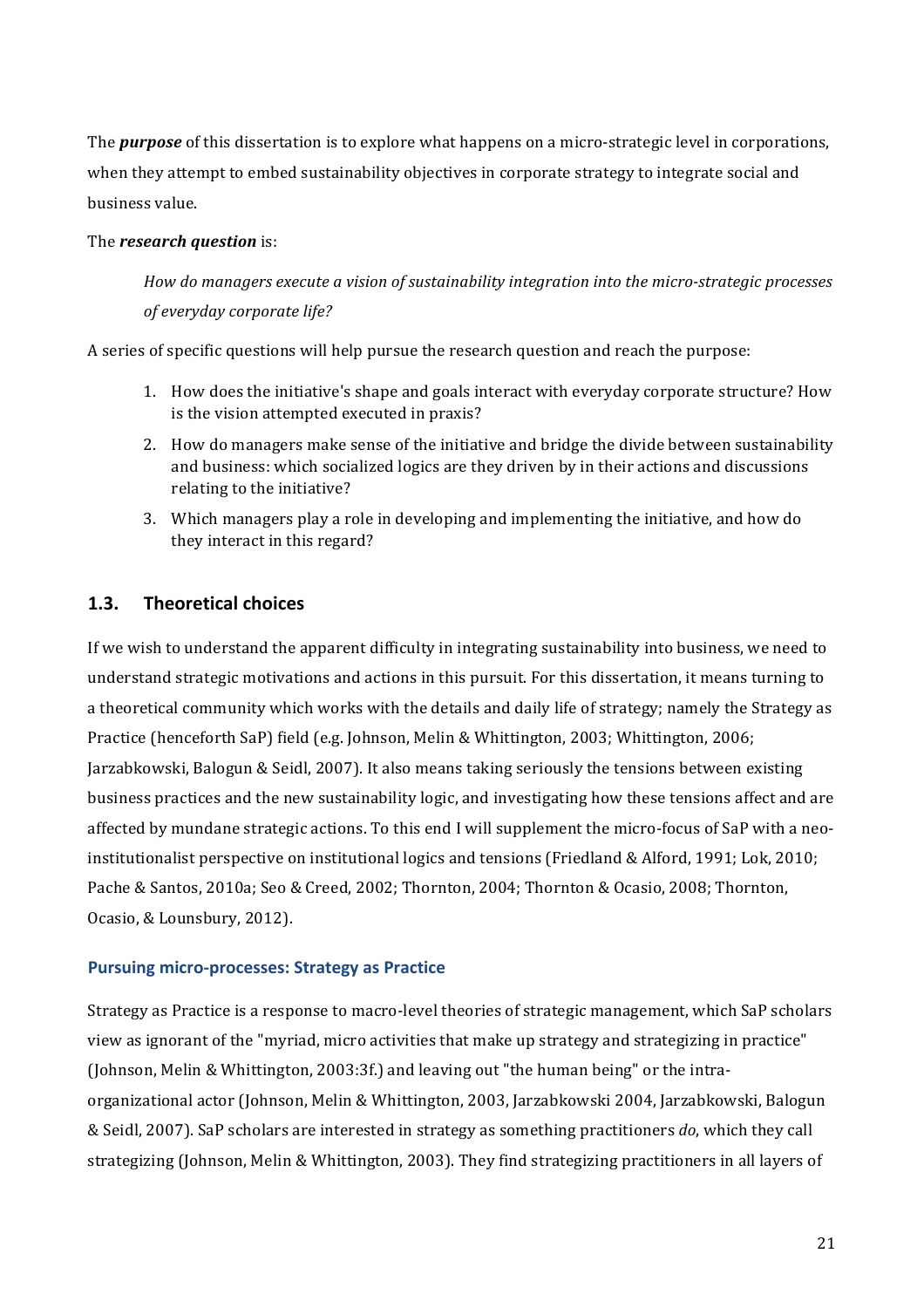The *purpose* of this dissertation is to explore what happens on a micro-strategic level in corporations, when they attempt to embed sustainability objectives in corporate strategy to integrate social and business value.

#### The *research* question is:

*How do managers execute a vision of sustainability integration into the micro-strategic processes*  $of$  everyday corporate life?

A series of specific questions will help pursue the research question and reach the purpose:

- 1. How does the initiative's shape and goals interact with everyday corporate structure? How is the vision attempted executed in praxis?
- 2. How do managers make sense of the initiative and bridge the divide between sustainability and business: which socialized logics are they driven by in their actions and discussions relating to the initiative?
- 3. Which managers play a role in developing and implementing the initiative, and how do they interact in this regard?

## **1.3.** Theoretical choices

If we wish to understand the apparent difficulty in integrating sustainability into business, we need to understand strategic motivations and actions in this pursuit. For this dissertation, it means turning to a theoretical community which works with the details and daily life of strategy; namely the Strategy as Practice (henceforth SaP) field (e.g. Johnson, Melin & Whittington, 2003; Whittington, 2006; Jarzabkowski, Balogun & Seidl, 2007). It also means taking seriously the tensions between existing business practices and the new sustainability logic, and investigating how these tensions affect and are affected by mundane strategic actions. To this end I will supplement the micro-focus of SaP with a neoinstitutionalist perspective on institutional logics and tensions (Friedland & Alford, 1991; Lok, 2010; Pache & Santos, 2010a; Seo & Creed, 2002; Thornton, 2004; Thornton & Ocasio, 2008; Thornton, Ocasio, & Lounsbury, 2012).

#### **Pursuing micro-processes: Strategy as Practice**

Strategy as Practice is a response to macro-level theories of strategic management, which SaP scholars view as ignorant of the "myriad, micro activities that make up strategy and strategizing in practice" (Johnson, Melin & Whittington, 2003:3f.) and leaving out "the human being" or the intraorganizational actor (Johnson, Melin & Whittington, 2003, Jarzabkowski 2004, Jarzabkowski, Balogun  $&$  Seidl, 2007). SaP scholars are interested in strategy as something practitioners *do*, which they call strategizing (Johnson, Melin & Whittington, 2003). They find strategizing practitioners in all layers of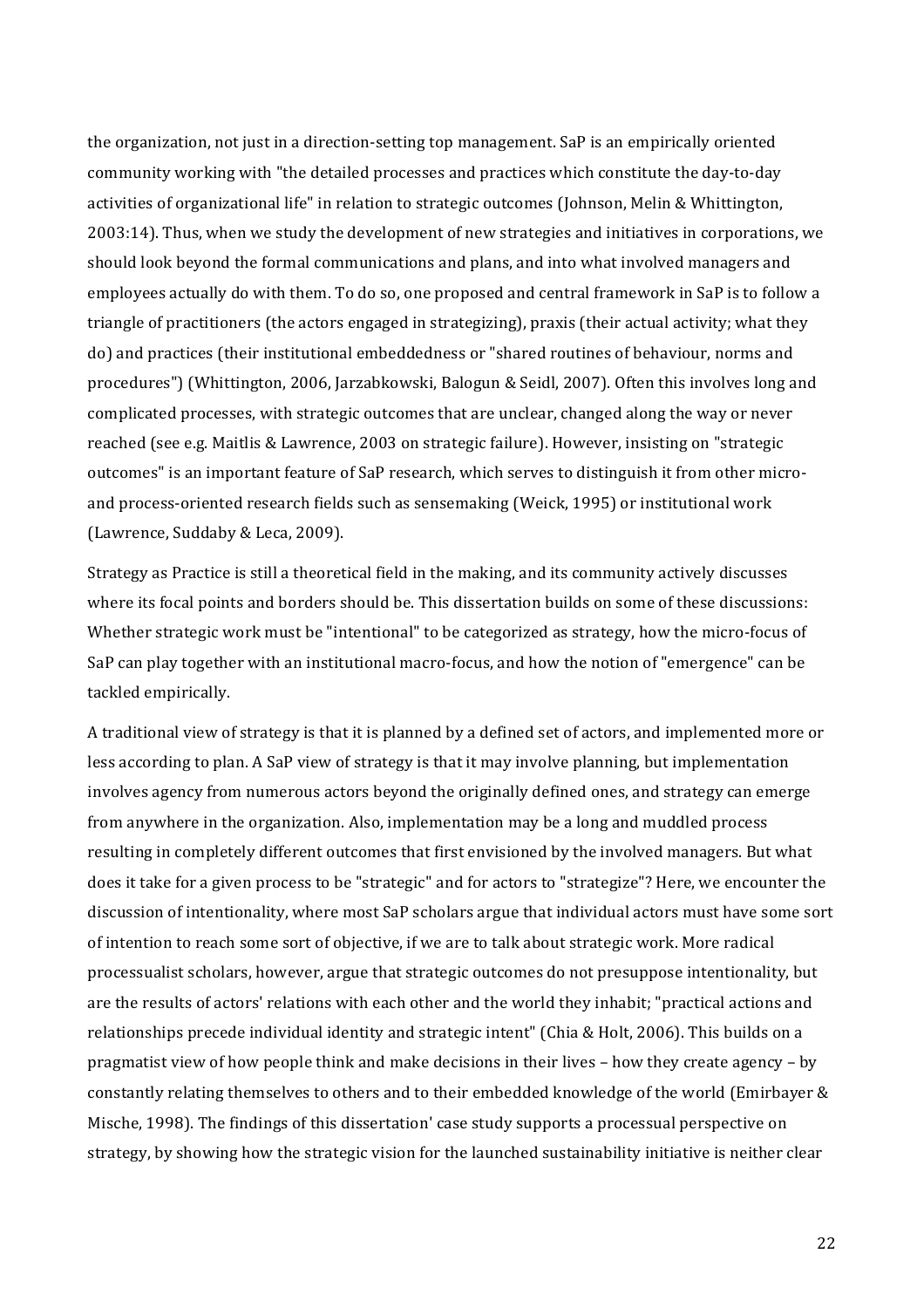the organization, not just in a direction-setting top management. SaP is an empirically oriented community working with "the detailed processes and practices which constitute the day-to-day activities of organizational life" in relation to strategic outcomes (Johnson, Melin & Whittington, 2003:14). Thus, when we study the development of new strategies and initiatives in corporations, we should look beyond the formal communications and plans, and into what involved managers and employees actually do with them. To do so, one proposed and central framework in SaP is to follow a triangle of practitioners (the actors engaged in strategizing), praxis (their actual activity; what they do) and practices (their institutional embeddedness or "shared routines of behaviour, norms and procedures") (Whittington, 2006, Jarzabkowski, Balogun & Seidl, 2007). Often this involves long and complicated processes, with strategic outcomes that are unclear, changed along the way or never reached (see e.g. Maitlis & Lawrence, 2003 on strategic failure). However, insisting on "strategic" outcomes" is an important feature of SaP research, which serves to distinguish it from other microand process-oriented research fields such as sensemaking (Weick, 1995) or institutional work (Lawrence, Suddaby & Leca, 2009).

Strategy as Practice is still a theoretical field in the making, and its community actively discusses where its focal points and borders should be. This dissertation builds on some of these discussions: Whether strategic work must be "intentional" to be categorized as strategy, how the micro-focus of SaP can play together with an institutional macro-focus, and how the notion of "emergence" can be tackled empirically.

A traditional view of strategy is that it is planned by a defined set of actors, and implemented more or less according to plan. A SaP view of strategy is that it may involve planning, but implementation involves agency from numerous actors beyond the originally defined ones, and strategy can emerge from anywhere in the organization. Also, implementation may be a long and muddled process resulting in completely different outcomes that first envisioned by the involved managers. But what does it take for a given process to be "strategic" and for actors to "strategize"? Here, we encounter the discussion of intentionality, where most SaP scholars argue that individual actors must have some sort of intention to reach some sort of objective, if we are to talk about strategic work. More radical processualist scholars, however, argue that strategic outcomes do not presuppose intentionality, but are the results of actors' relations with each other and the world they inhabit; "practical actions and relationships precede individual identity and strategic intent" (Chia & Holt, 2006). This builds on a pragmatist view of how people think and make decisions in their lives – how they create agency – by constantly relating themselves to others and to their embedded knowledge of the world (Emirbayer & Mische, 1998). The findings of this dissertation' case study supports a processual perspective on strategy, by showing how the strategic vision for the launched sustainability initiative is neither clear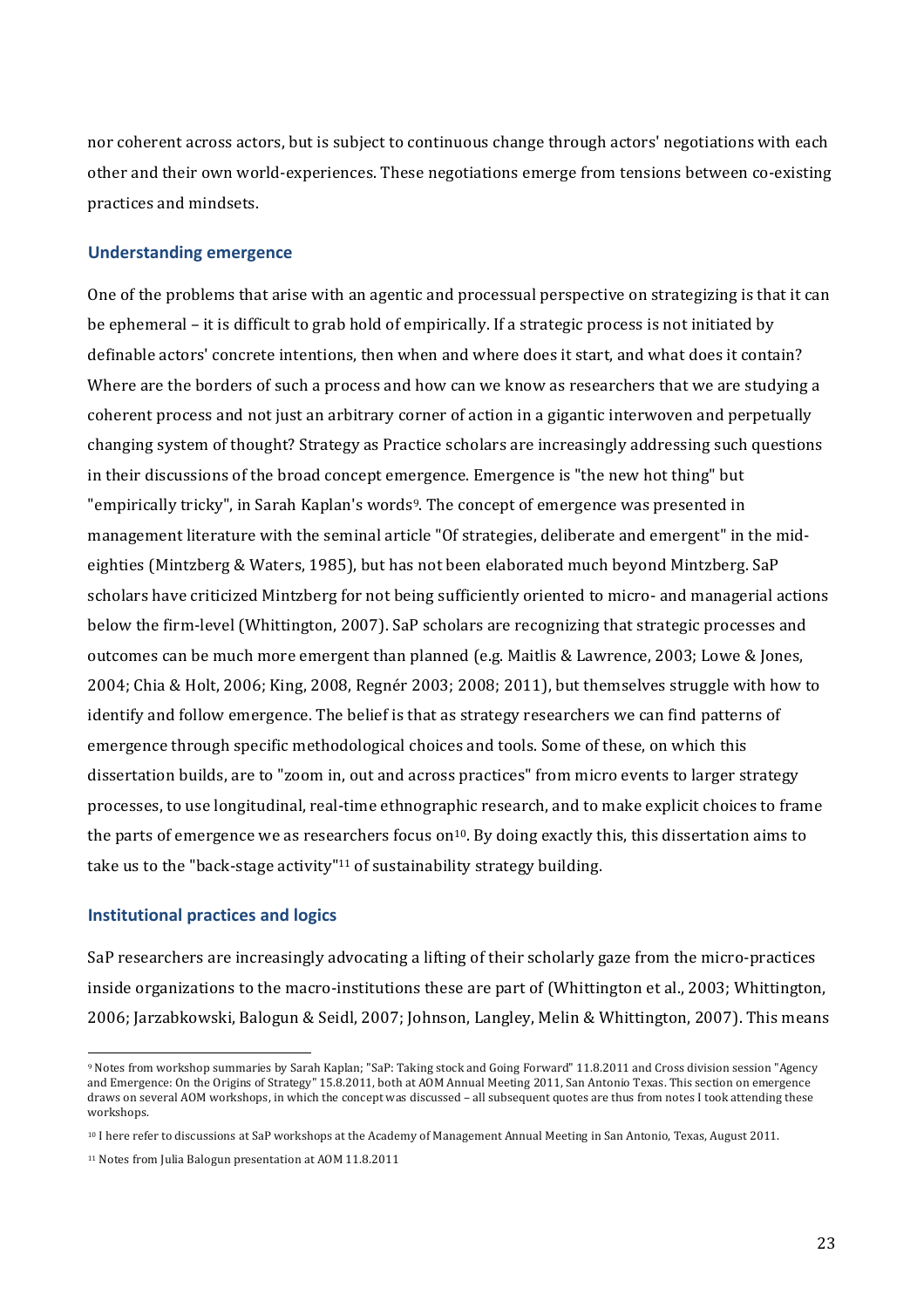nor coherent across actors, but is subject to continuous change through actors' negotiations with each other and their own world-experiences. These negotiations emerge from tensions between co-existing practices and mindsets.

#### **Understanding!emergence**

One of the problems that arise with an agentic and processual perspective on strategizing is that it can be ephemeral – it is difficult to grab hold of empirically. If a strategic process is not initiated by definable actors' concrete intentions, then when and where does it start, and what does it contain? Where are the borders of such a process and how can we know as researchers that we are studying a coherent process and not just an arbitrary corner of action in a gigantic interwoven and perpetually changing system of thought? Strategy as Practice scholars are increasingly addressing such questions in their discussions of the broad concept emergence. Emergence is "the new hot thing" but "empirically tricky", in Sarah Kaplan's words<sup>9</sup>. The concept of emergence was presented in management literature with the seminal article "Of strategies, deliberate and emergent" in the mideighties (Mintzberg & Waters, 1985), but has not been elaborated much beyond Mintzberg. SaP scholars have criticized Mintzberg for not being sufficiently oriented to micro- and managerial actions below the firm-level (Whittington, 2007). SaP scholars are recognizing that strategic processes and outcomes can be much more emergent than planned (e.g. Maitlis & Lawrence, 2003; Lowe & Jones, 2004; Chia & Holt, 2006; King, 2008, Regnér 2003; 2008; 2011), but themselves struggle with how to identify and follow emergence. The belief is that as strategy researchers we can find patterns of emergence through specific methodological choices and tools. Some of these, on which this dissertation builds, are to "zoom in, out and across practices" from micro events to larger strategy processes, to use longitudinal, real-time ethnographic research, and to make explicit choices to frame the parts of emergence we as researchers focus on<sup>10</sup>. By doing exactly this, this dissertation aims to take us to the "back-stage activity"<sup>11</sup> of sustainability strategy building.

#### **Institutional practices and logics**

!!!!!!!!!!!!!!!!!!!!!!!!!!!!!!!!!!!!!!!!!!!!!!!!!!!!!!!!!!!!

SaP researchers are increasingly advocating a lifting of their scholarly gaze from the micro-practices inside organizations to the macro-institutions these are part of (Whittington et al., 2003; Whittington, 2006; Jarzabkowski, Balogun & Seidl, 2007; Johnson, Langley, Melin & Whittington, 2007). This means

<sup>&</sup>lt;sup>9</sup> Notes from workshop summaries by Sarah Kaplan; "SaP: Taking stock and Going Forward" 11.8.2011 and Cross division session "Agency and Emergence: On the Origins of Strategy"  $15.8.2011$ , both at AOM Annual Meeting 2011, San Antonio Texas. This section on emergence draws on several AOM workshops, in which the concept was discussed – all subsequent quotes are thus from notes I took attending these workshops.

<sup>&</sup>lt;sup>10</sup> I here refer to discussions at SaP workshops at the Academy of Management Annual Meeting in San Antonio, Texas, August 2011.

<sup>&</sup>lt;sup>11</sup> Notes from Julia Balogun presentation at AOM 11.8.2011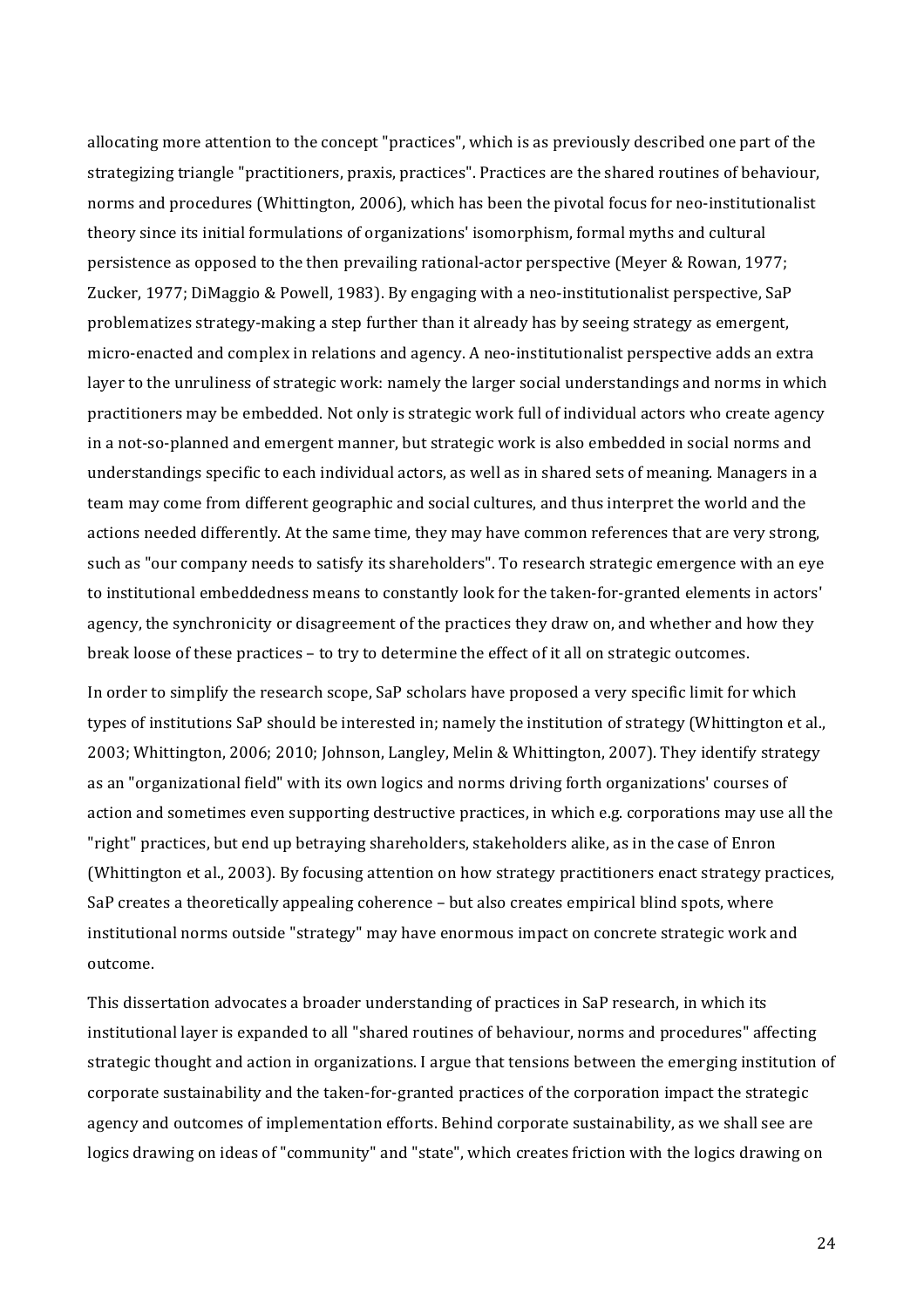allocating more attention to the concept "practices", which is as previously described one part of the strategizing triangle "practitioners, praxis, practices". Practices are the shared routines of behaviour, norms and procedures (Whittington, 2006), which has been the pivotal focus for neo-institutionalist theory since its initial formulations of organizations' isomorphism, formal myths and cultural persistence as opposed to the then prevailing rational-actor perspective (Meyer & Rowan, 1977; Zucker, 1977; DiMaggio & Powell, 1983). By engaging with a neo-institutionalist perspective, SaP problematizes strategy-making a step further than it already has by seeing strategy as emergent, micro-enacted and complex in relations and agency. A neo-institutionalist perspective adds an extra layer to the unruliness of strategic work: namely the larger social understandings and norms in which practitioners may be embedded. Not only is strategic work full of individual actors who create agency in a not-so-planned and emergent manner, but strategic work is also embedded in social norms and understandings specific to each individual actors, as well as in shared sets of meaning. Managers in a team may come from different geographic and social cultures, and thus interpret the world and the actions needed differently. At the same time, they may have common references that are very strong, such as "our company needs to satisfy its shareholders". To research strategic emergence with an eye to institutional embeddedness means to constantly look for the taken-for-granted elements in actors' agency, the synchronicity or disagreement of the practices they draw on, and whether and how they break loose of these practices - to try to determine the effect of it all on strategic outcomes.

In order to simplify the research scope, SaP scholars have proposed a very specific limit for which types of institutions SaP should be interested in; namely the institution of strategy (Whittington et al., 2003; Whittington, 2006; 2010; Johnson, Langley, Melin & Whittington, 2007). They identify strategy as an "organizational field" with its own logics and norms driving forth organizations' courses of action and sometimes even supporting destructive practices, in which e.g. corporations may use all the "right" practices, but end up betraying shareholders, stakeholders alike, as in the case of Enron (Whittington et al., 2003). By focusing attention on how strategy practitioners enact strategy practices, SaP creates a theoretically appealing coherence – but also creates empirical blind spots, where institutional norms outside "strategy" may have enormous impact on concrete strategic work and outcome.

This dissertation advocates a broader understanding of practices in SaP research, in which its institutional layer is expanded to all "shared routines of behaviour, norms and procedures" affecting strategic thought and action in organizations. I argue that tensions between the emerging institution of corporate sustainability and the taken-for-granted practices of the corporation impact the strategic agency and outcomes of implementation efforts. Behind corporate sustainability, as we shall see are logics drawing on ideas of "community" and "state", which creates friction with the logics drawing on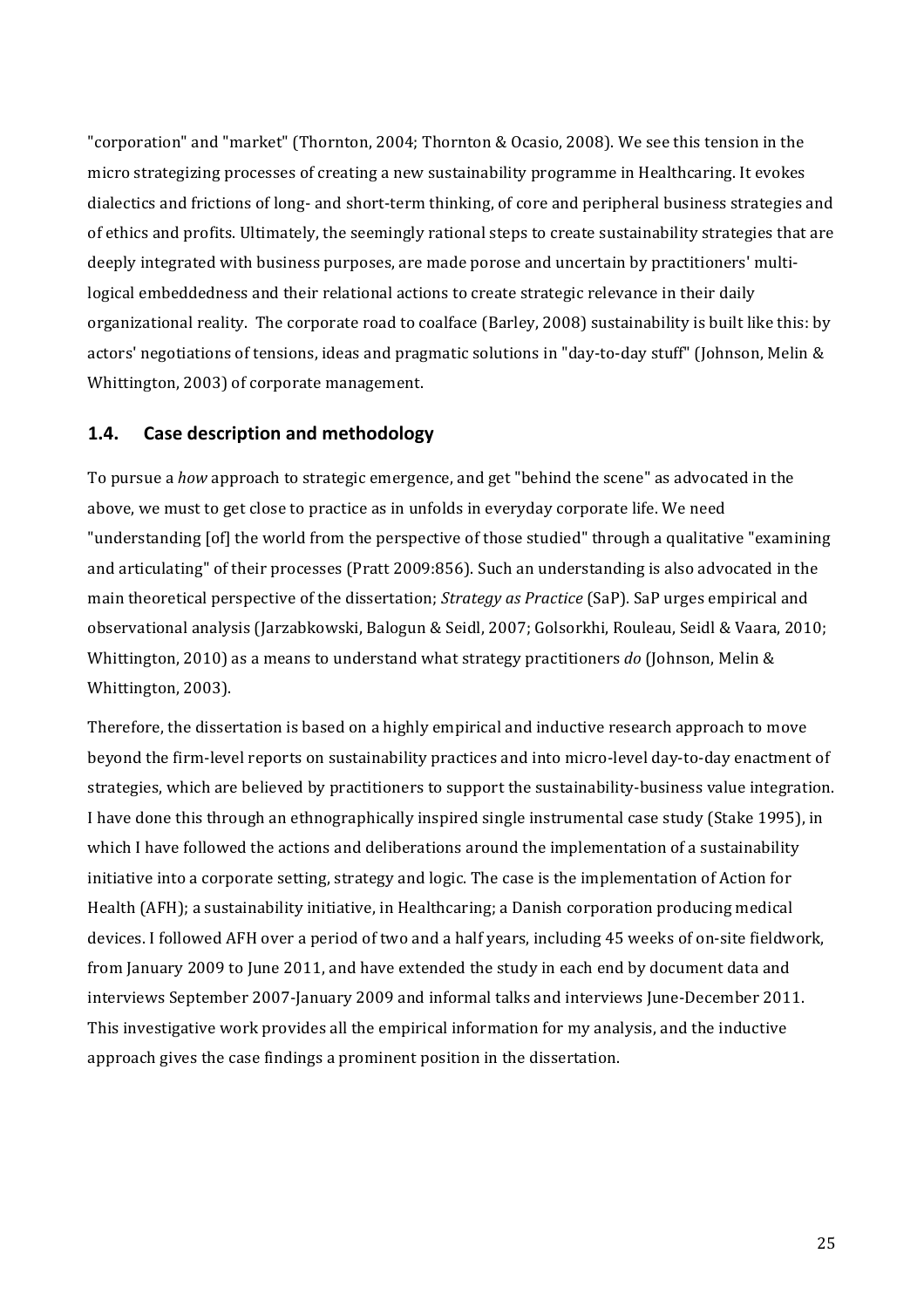"corporation" and "market" (Thornton, 2004; Thornton & Ocasio, 2008). We see this tension in the micro strategizing processes of creating a new sustainability programme in Healthcaring. It evokes dialectics and frictions of long- and short-term thinking, of core and peripheral business strategies and of ethics and profits. Ultimately, the seemingly rational steps to create sustainability strategies that are deeply integrated with business purposes, are made porose and uncertain by practitioners' multilogical embeddedness and their relational actions to create strategic relevance in their daily organizational reality. The corporate road to coalface (Barley, 2008) sustainability is built like this: by actors' negotiations of tensions, ideas and pragmatic solutions in "day-to-day stuff" (Johnson, Melin & Whittington, 2003) of corporate management.

#### $1.4.$ **Case description and methodology**

To pursue a how approach to strategic emergence, and get "behind the scene" as advocated in the above, we must to get close to practice as in unfolds in everyday corporate life. We need "understanding [of] the world from the perspective of those studied" through a qualitative "examining" and articulating" of their processes (Pratt 2009:856). Such an understanding is also advocated in the main theoretical perspective of the dissertation; Strategy as Practice (SaP). SaP urges empirical and observational analysis (Jarzabkowski, Balogun & Seidl, 2007; Golsorkhi, Rouleau, Seidl & Vaara, 2010; Whittington, 2010) as a means to understand what strategy practitioners do (Johnson, Melin & Whittington, 2003).

Therefore, the dissertation is based on a highly empirical and inductive research approach to move beyond the firm-level reports on sustainability practices and into micro-level day-to-day enactment of strategies, which are believed by practitioners to support the sustainability-business value integration. I have done this through an ethnographically inspired single instrumental case study (Stake 1995), in which I have followed the actions and deliberations around the implementation of a sustainability initiative into a corporate setting, strategy and logic. The case is the implementation of Action for Health (AFH); a sustainability initiative, in Healthcaring; a Danish corporation producing medical devices. I followed AFH over a period of two and a half years, including 45 weeks of on-site fieldwork, from January 2009 to June 2011, and have extended the study in each end by document data and interviews September 2007-January 2009 and informal talks and interviews June-December 2011. This investigative work provides all the empirical information for my analysis, and the inductive approach gives the case findings a prominent position in the dissertation.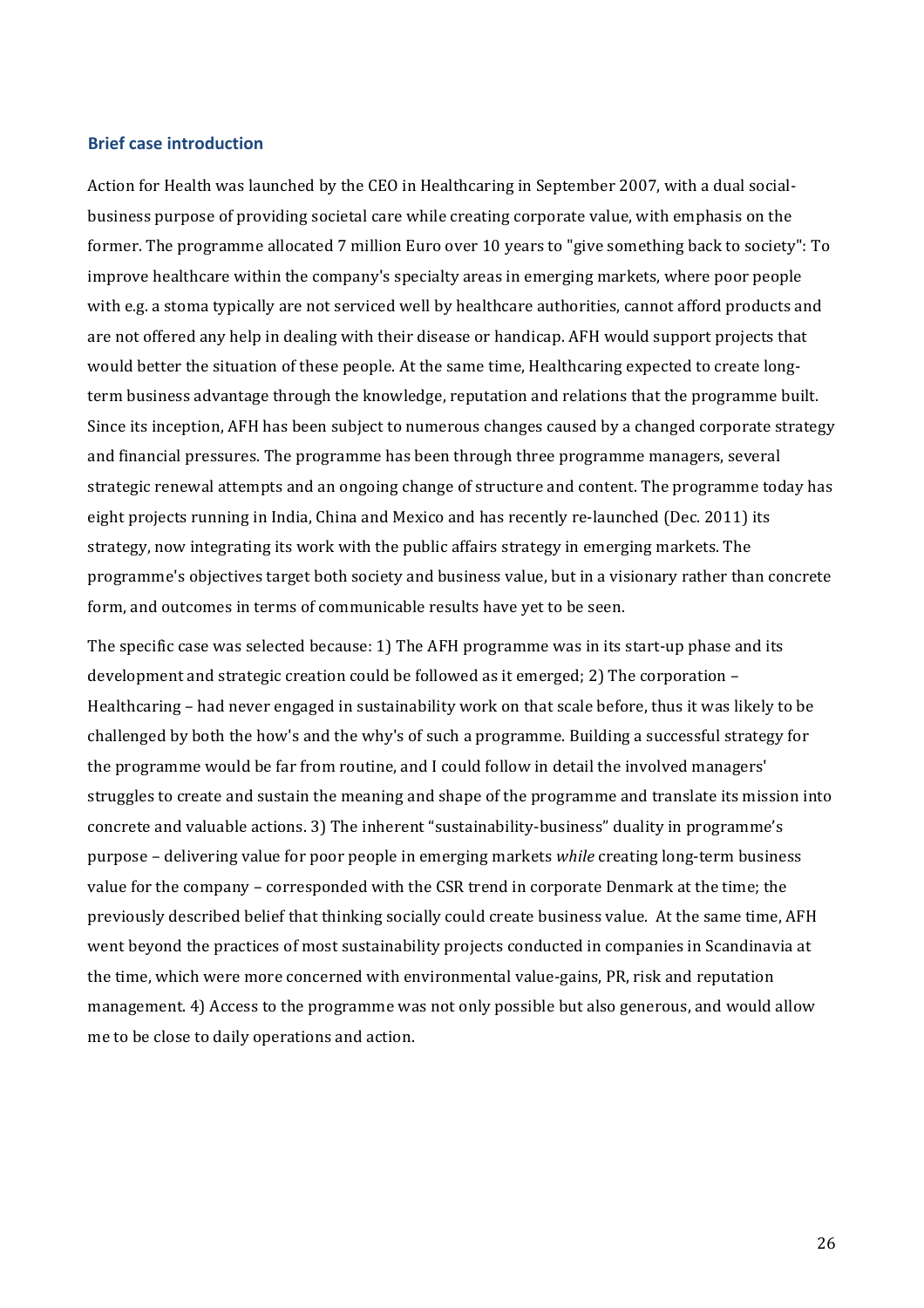#### **Brief case introduction**

Action for Health was launched by the CEO in Healthcaring in September 2007, with a dual socialbusiness purpose of providing societal care while creating corporate value, with emphasis on the former. The programme allocated 7 million Euro over 10 years to "give something back to society": To improve healthcare within the company's specialty areas in emerging markets, where poor people with e.g. a stoma typically are not serviced well by healthcare authorities, cannot afford products and are not offered any help in dealing with their disease or handicap. AFH would support projects that would better the situation of these people. At the same time, Healthcaring expected to create longterm business advantage through the knowledge, reputation and relations that the programme built. Since its inception, AFH has been subject to numerous changes caused by a changed corporate strategy and financial pressures. The programme has been through three programme managers, several strategic renewal attempts and an ongoing change of structure and content. The programme today has eight projects running in India, China and Mexico and has recently re-launched (Dec. 2011) its strategy, now integrating its work with the public affairs strategy in emerging markets. The programme's objectives target both society and business value, but in a visionary rather than concrete form, and outcomes in terms of communicable results have yet to be seen.

The specific case was selected because: 1) The AFH programme was in its start-up phase and its development and strategic creation could be followed as it emerged: 2) The corporation – Healthcaring – had never engaged in sustainability work on that scale before, thus it was likely to be challenged by both the how's and the why's of such a programme. Building a successful strategy for the programme would be far from routine, and I could follow in detail the involved managers' struggles to create and sustain the meaning and shape of the programme and translate its mission into concrete and valuable actions. 3) The inherent "sustainability-business" duality in programme's purpose - delivering value for poor people in emerging markets *while* creating long-term business value for the company – corresponded with the CSR trend in corporate Denmark at the time; the previously described belief that thinking socially could create business value. At the same time, AFH went beyond the practices of most sustainability projects conducted in companies in Scandinavia at the time, which were more concerned with environmental value-gains, PR, risk and reputation management. 4) Access to the programme was not only possible but also generous, and would allow me to be close to daily operations and action.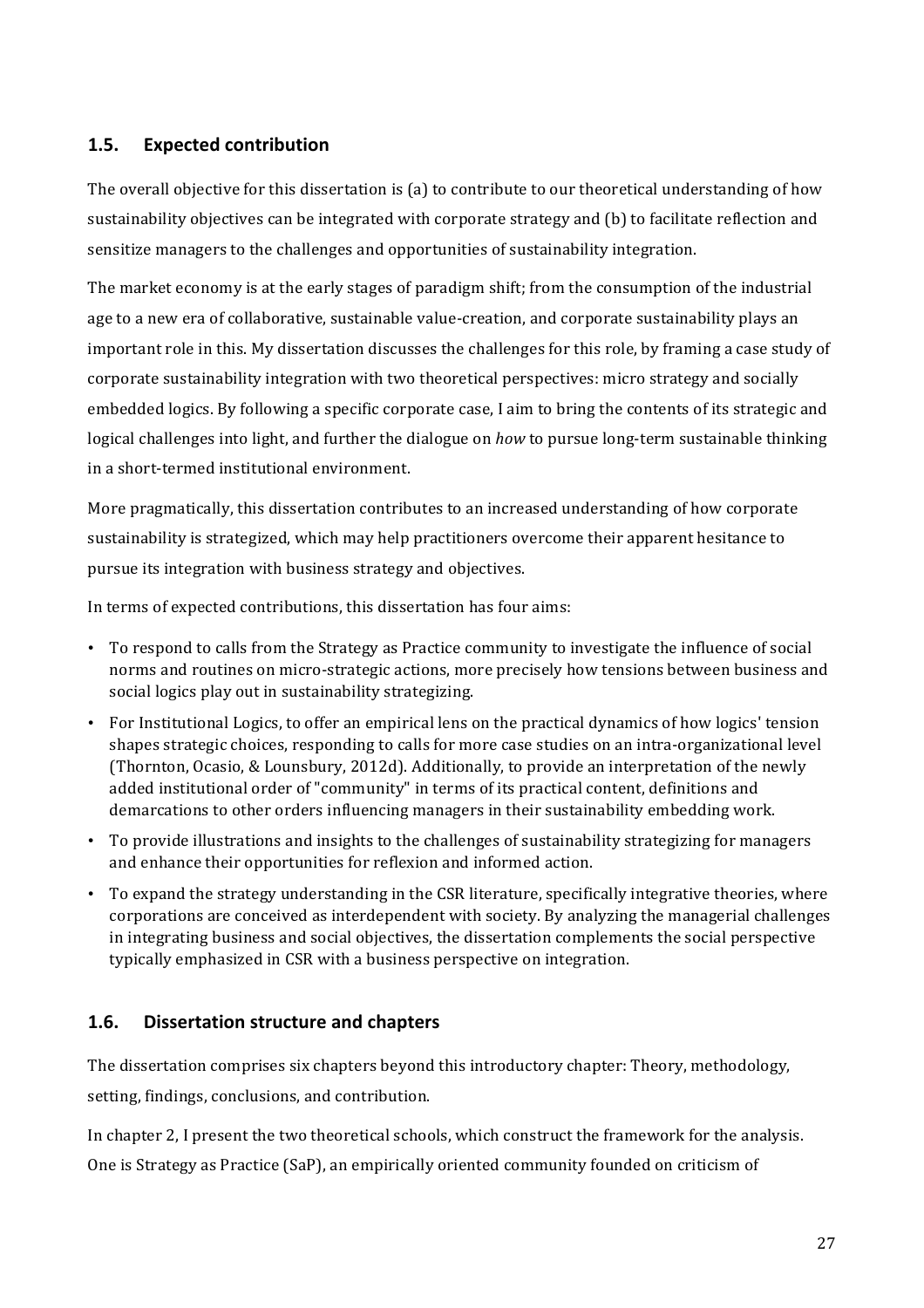### **1.5. Expected contribution**

The overall objective for this dissertation is (a) to contribute to our theoretical understanding of how sustainability objectives can be integrated with corporate strategy and (b) to facilitate reflection and sensitize managers to the challenges and opportunities of sustainability integration.

The market economy is at the early stages of paradigm shift; from the consumption of the industrial age to a new era of collaborative, sustainable value-creation, and corporate sustainability plays an important role in this. My dissertation discusses the challenges for this role, by framing a case study of corporate sustainability integration with two theoretical perspectives: micro strategy and socially embedded logics. By following a specific corporate case, I aim to bring the contents of its strategic and logical challenges into light, and further the dialogue on *how* to pursue long-term sustainable thinking in a short-termed institutional environment.

More pragmatically, this dissertation contributes to an increased understanding of how corporate sustainability is strategized, which may help practitioners overcome their apparent hesitance to pursue its integration with business strategy and objectives.

In terms of expected contributions, this dissertation has four aims:

- To respond to calls from the Strategy as Practice community to investigate the influence of social norms and routines on micro-strategic actions, more precisely how tensions between business and social logics play out in sustainability strategizing.
- For Institutional Logics, to offer an empirical lens on the practical dynamics of how logics' tension shapes strategic choices, responding to calls for more case studies on an intra-organizational level (Thornton, Ocasio, & Lounsbury, 2012d). Additionally, to provide an interpretation of the newly added institutional order of "community" in terms of its practical content, definitions and demarcations to other orders influencing managers in their sustainability embedding work.
- To provide illustrations and insights to the challenges of sustainability strategizing for managers and enhance their opportunities for reflexion and informed action.
- To expand the strategy understanding in the CSR literature, specifically integrative theories, where corporations are conceived as interdependent with society. By analyzing the managerial challenges in integrating business and social objectives, the dissertation complements the social perspective typically emphasized in CSR with a business perspective on integration.

## **1.6.** Dissertation structure and chapters

The dissertation comprises six chapters beyond this introductory chapter: Theory, methodology, setting, findings, conclusions, and contribution.

In chapter 2. I present the two theoretical schools, which construct the framework for the analysis. One is Strategy as Practice (SaP), an empirically oriented community founded on criticism of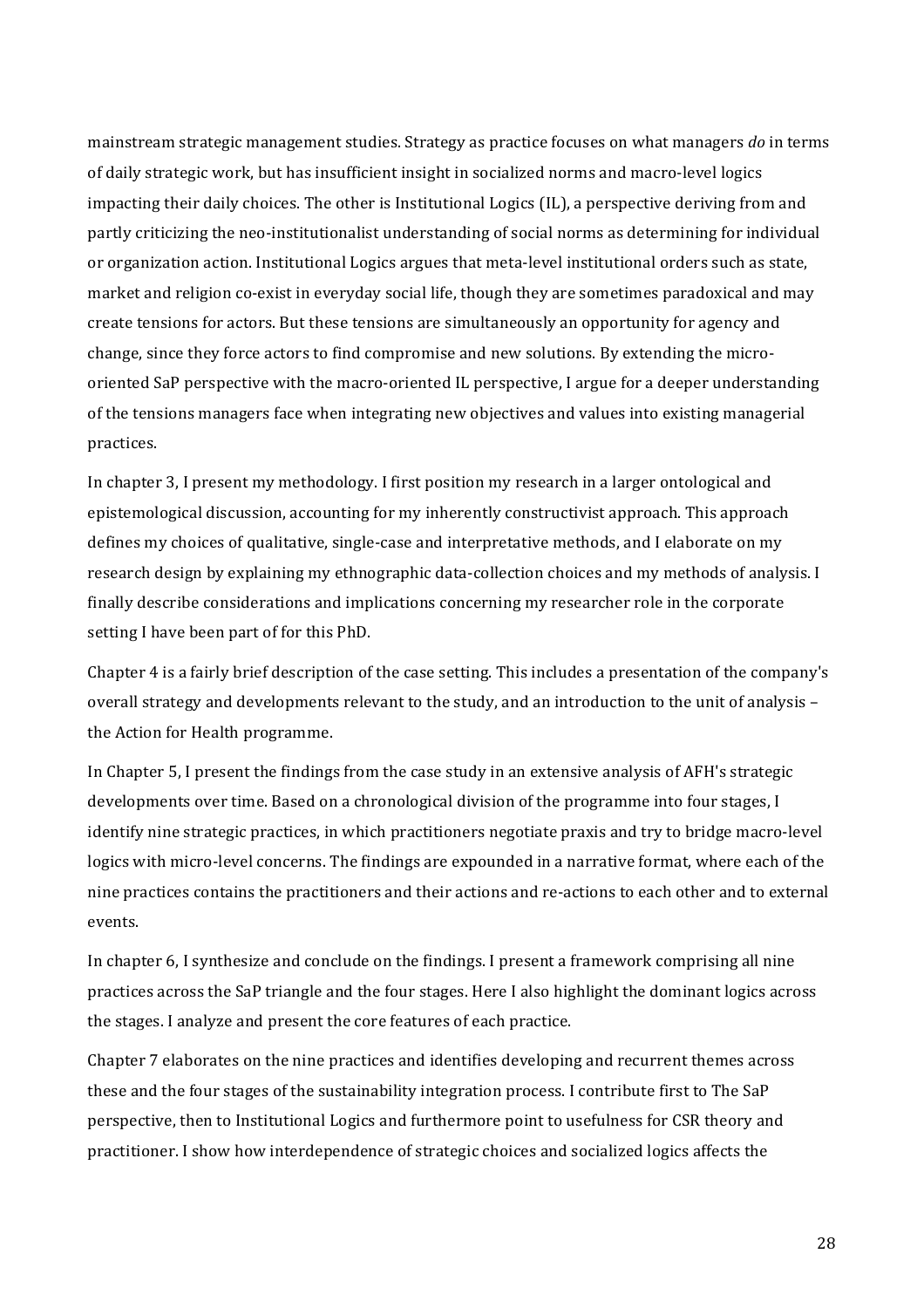mainstream strategic management studies. Strategy as practice focuses on what managers *do* in terms of daily strategic work, but has insufficient insight in socialized norms and macro-level logics impacting their daily choices. The other is Institutional Logics (IL), a perspective deriving from and partly criticizing the neo-institutionalist understanding of social norms as determining for individual or organization action. Institutional Logics argues that meta-level institutional orders such as state, market and religion co-exist in everyday social life, though they are sometimes paradoxical and may create tensions for actors. But these tensions are simultaneously an opportunity for agency and change, since they force actors to find compromise and new solutions. By extending the microoriented SaP perspective with the macro-oriented IL perspective, I argue for a deeper understanding of the tensions managers face when integrating new objectives and values into existing managerial practices.

In chapter 3, I present my methodology. I first position my research in a larger ontological and epistemological discussion, accounting for my inherently constructivist approach. This approach defines my choices of qualitative, single-case and interpretative methods, and I elaborate on my research design by explaining my ethnographic data-collection choices and my methods of analysis. I finally describe considerations and implications concerning my researcher role in the corporate setting I have been part of for this PhD.

Chapter 4 is a fairly brief description of the case setting. This includes a presentation of the company's overall strategy and developments relevant to the study, and an introduction to the unit of analysis – the Action for Health programme.

In Chapter 5, I present the findings from the case study in an extensive analysis of AFH's strategic developments over time. Based on a chronological division of the programme into four stages, I identify nine strategic practices, in which practitioners negotiate praxis and try to bridge macro-level logics with micro-level concerns. The findings are expounded in a narrative format, where each of the nine practices contains the practitioners and their actions and re-actions to each other and to external events.

In chapter 6, I synthesize and conclude on the findings. I present a framework comprising all nine practices across the SaP triangle and the four stages. Here I also highlight the dominant logics across the stages. I analyze and present the core features of each practice.

Chapter 7 elaborates on the nine practices and identifies developing and recurrent themes across these and the four stages of the sustainability integration process. I contribute first to The SaP perspective, then to Institutional Logics and furthermore point to usefulness for CSR theory and practitioner. I show how interdependence of strategic choices and socialized logics affects the